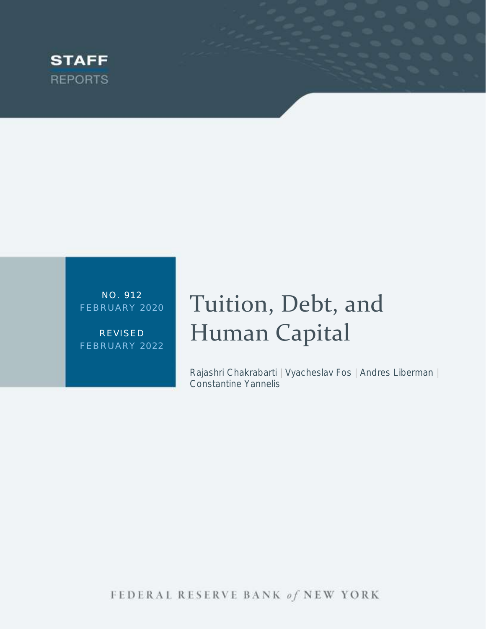

NO. 9 12 FEBRUARY 2020

RE VISE D FEBRUARY 2022

# Tuition, Debt, and Human Capital

Rajashri Chakrabarti | Vyacheslav Fos | Andres Liberman | Constantine Yannelis

FEDERAL RESERVE BANK of NEW YORK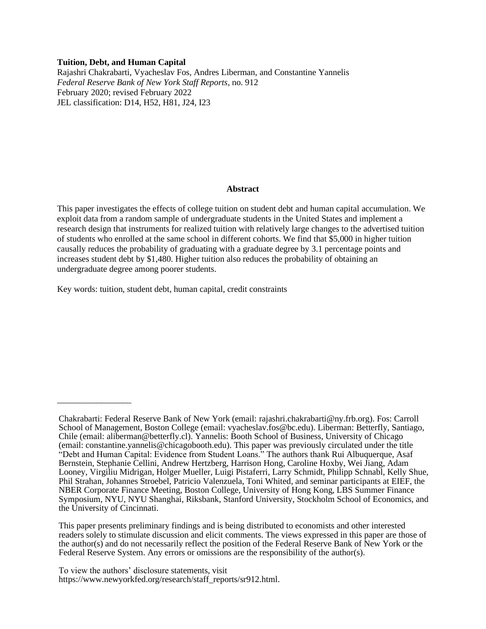# **Tuition, Debt, and Human Capital**

\_\_\_\_\_\_\_\_\_\_\_\_\_\_\_\_\_

Rajashri Chakrabarti, Vyacheslav Fos, Andres Liberman, and Constantine Yannelis *Federal Reserve Bank of New York Staff Reports*, no. 912 February 2020; revised February 2022 JEL classification: D14, H52, H81, J24, I23

## **Abstract**

This paper investigates the effects of college tuition on student debt and human capital accumulation. We exploit data from a random sample of undergraduate students in the United States and implement a research design that instruments for realized tuition with relatively large changes to the advertised tuition of students who enrolled at the same school in different cohorts. We find that \$5,000 in higher tuition causally reduces the probability of graduating with a graduate degree by 3.1 percentage points and increases student debt by \$1,480. Higher tuition also reduces the probability of obtaining an undergraduate degree among poorer students.

Key words: tuition, student debt, human capital, credit constraints

This paper presents preliminary findings and is being distributed to economists and other interested readers solely to stimulate discussion and elicit comments. The views expressed in this paper are those of the author(s) and do not necessarily reflect the position of the Federal Reserve Bank of New York or the Federal Reserve System. Any errors or omissions are the responsibility of the author(s).

Chakrabarti: Federal Reserve Bank of New York (email: rajashri.chakrabarti@ny.frb.org). Fos: Carroll School of Management, Boston College (email: vyacheslav.fos@bc.edu). Liberman: Betterfly, Santiago, Chile (email: aliberman@betterfly.cl). Yannelis: Booth School of Business, University of Chicago (email: constantine.yannelis@chicagobooth.edu). This paper was previously circulated under the title "Debt and Human Capital: Evidence from Student Loans." The authors thank Rui Albuquerque, Asaf Bernstein, Stephanie Cellini, Andrew Hertzberg, Harrison Hong, Caroline Hoxby, Wei Jiang, Adam Looney, Virgiliu Midrigan, Holger Mueller, Luigi Pistaferri, Larry Schmidt, Philipp Schnabl, Kelly Shue, Phil Strahan, Johannes Stroebel, Patricio Valenzuela, Toni Whited, and seminar participants at EIEF, the NBER Corporate Finance Meeting, Boston College, University of Hong Kong, LBS Summer Finance Symposium, NYU, NYU Shanghai, Riksbank, Stanford University, Stockholm School of Economics, and the University of Cincinnati.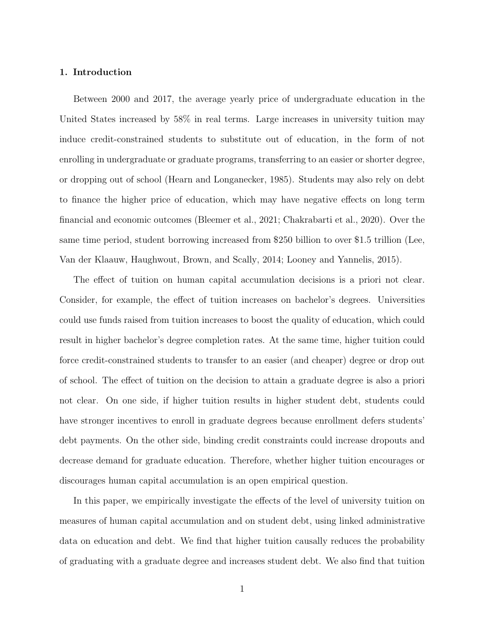# 1. Introduction

Between 2000 and 2017, the average yearly price of undergraduate education in the United States increased by 58% in real terms. Large increases in university tuition may induce credit-constrained students to substitute out of education, in the form of not enrolling in undergraduate or graduate programs, transferring to an easier or shorter degree, or dropping out of school (Hearn and Longanecker, 1985). Students may also rely on debt to finance the higher price of education, which may have negative effects on long term financial and economic outcomes (Bleemer et al., 2021; Chakrabarti et al., 2020). Over the same time period, student borrowing increased from \$250 billion to over \$1.5 trillion (Lee, Van der Klaauw, Haughwout, Brown, and Scally, 2014; Looney and Yannelis, 2015).

The effect of tuition on human capital accumulation decisions is a priori not clear. Consider, for example, the effect of tuition increases on bachelor's degrees. Universities could use funds raised from tuition increases to boost the quality of education, which could result in higher bachelor's degree completion rates. At the same time, higher tuition could force credit-constrained students to transfer to an easier (and cheaper) degree or drop out of school. The effect of tuition on the decision to attain a graduate degree is also a priori not clear. On one side, if higher tuition results in higher student debt, students could have stronger incentives to enroll in graduate degrees because enrollment defers students' debt payments. On the other side, binding credit constraints could increase dropouts and decrease demand for graduate education. Therefore, whether higher tuition encourages or discourages human capital accumulation is an open empirical question.

In this paper, we empirically investigate the effects of the level of university tuition on measures of human capital accumulation and on student debt, using linked administrative data on education and debt. We find that higher tuition causally reduces the probability of graduating with a graduate degree and increases student debt. We also find that tuition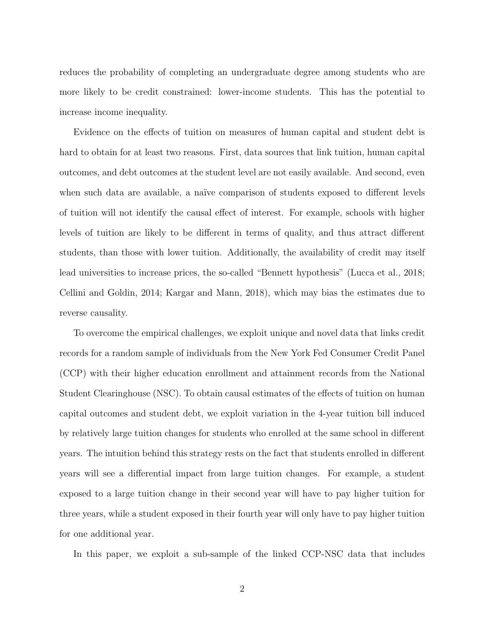reduces the probability of completing an undergraduate degree among students who are more likely to be credit constrained: lower-income students. This has the potential to increase income inequality.

Evidence on the effects of tuition on measures of human capital and student debt is hard to obtain for at least two reasons. First, data sources that link tuition, human capital outcomes, and debt outcomes at the student level are not easily available. And second, even when such data are available, a naïve comparison of students exposed to different levels of tuition will not identify the causal effect of interest. For example, schools with higher levels of tuition are likely to be different in terms of quality, and thus attract different students, than those with lower tuition. Additionally, the availability of credit may itself lead universities to increase prices, the so-called "Bennett hypothesis" (Lucca et al., 2018; Cellini and Goldin, 2014; Kargar and Mann, 2018), which may bias the estimates due to reverse causality.

To overcome the empirical challenges, we exploit unique and novel data that links credit records for a random sample of individuals from the New York Fed Consumer Credit Panel (CCP) with their higher education enrollment and attainment records from the National Student Clearinghouse (NSC). To obtain causal estimates of the effects of tuition on human capital outcomes and student debt, we exploit variation in the 4-year tuition bill induced by relatively large tuition changes for students who enrolled at the same school in different years. The intuition behind this strategy rests on the fact that students enrolled in different years will see a differential impact from large tuition changes. For example, a student exposed to a large tuition change in their second year will have to pay higher tuition for three years, while a student exposed in their fourth year will only have to pay higher tuition for one additional year.

In this paper, we exploit a sub-sample of the linked CCP-NSC data that includes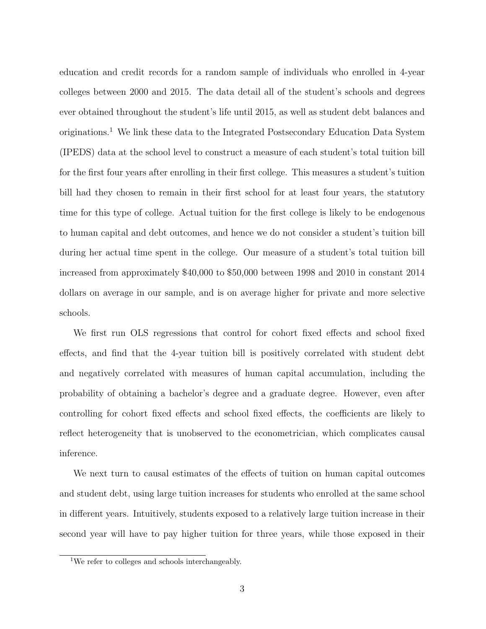education and credit records for a random sample of individuals who enrolled in 4-year colleges between 2000 and 2015. The data detail all of the student's schools and degrees ever obtained throughout the student's life until 2015, as well as student debt balances and originations.<sup>1</sup> We link these data to the Integrated Postsecondary Education Data System (IPEDS) data at the school level to construct a measure of each student's total tuition bill for the first four years after enrolling in their first college. This measures a student's tuition bill had they chosen to remain in their first school for at least four years, the statutory time for this type of college. Actual tuition for the first college is likely to be endogenous to human capital and debt outcomes, and hence we do not consider a student's tuition bill during her actual time spent in the college. Our measure of a student's total tuition bill increased from approximately \$40,000 to \$50,000 between 1998 and 2010 in constant 2014 dollars on average in our sample, and is on average higher for private and more selective schools.

We first run OLS regressions that control for cohort fixed effects and school fixed effects, and find that the 4-year tuition bill is positively correlated with student debt and negatively correlated with measures of human capital accumulation, including the probability of obtaining a bachelor's degree and a graduate degree. However, even after controlling for cohort fixed effects and school fixed effects, the coefficients are likely to reflect heterogeneity that is unobserved to the econometrician, which complicates causal inference.

We next turn to causal estimates of the effects of tuition on human capital outcomes and student debt, using large tuition increases for students who enrolled at the same school in different years. Intuitively, students exposed to a relatively large tuition increase in their second year will have to pay higher tuition for three years, while those exposed in their

<sup>&</sup>lt;sup>1</sup>We refer to colleges and schools interchangeably.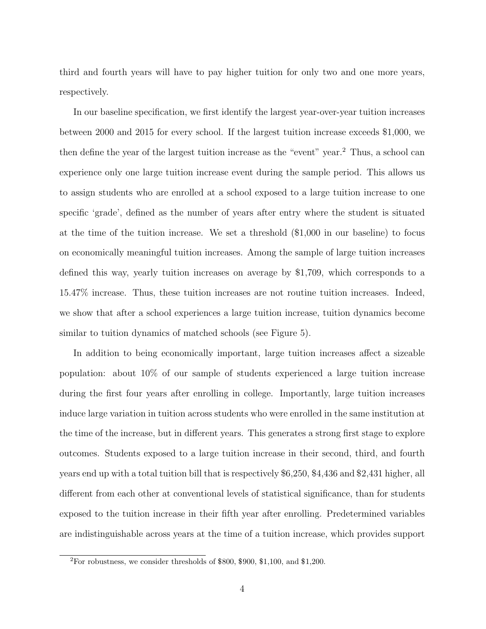third and fourth years will have to pay higher tuition for only two and one more years, respectively.

In our baseline specification, we first identify the largest year-over-year tuition increases between 2000 and 2015 for every school. If the largest tuition increase exceeds \$1,000, we then define the year of the largest tuition increase as the "event" year.<sup>2</sup> Thus, a school can experience only one large tuition increase event during the sample period. This allows us to assign students who are enrolled at a school exposed to a large tuition increase to one specific 'grade', defined as the number of years after entry where the student is situated at the time of the tuition increase. We set a threshold (\$1,000 in our baseline) to focus on economically meaningful tuition increases. Among the sample of large tuition increases defined this way, yearly tuition increases on average by \$1,709, which corresponds to a 15.47% increase. Thus, these tuition increases are not routine tuition increases. Indeed, we show that after a school experiences a large tuition increase, tuition dynamics become similar to tuition dynamics of matched schools (see Figure 5).

In addition to being economically important, large tuition increases affect a sizeable population: about 10% of our sample of students experienced a large tuition increase during the first four years after enrolling in college. Importantly, large tuition increases induce large variation in tuition across students who were enrolled in the same institution at the time of the increase, but in different years. This generates a strong first stage to explore outcomes. Students exposed to a large tuition increase in their second, third, and fourth years end up with a total tuition bill that is respectively \$6,250, \$4,436 and \$2,431 higher, all different from each other at conventional levels of statistical significance, than for students exposed to the tuition increase in their fifth year after enrolling. Predetermined variables are indistinguishable across years at the time of a tuition increase, which provides support

 ${}^{2}$ For robustness, we consider thresholds of \$800, \$900, \$1,100, and \$1,200.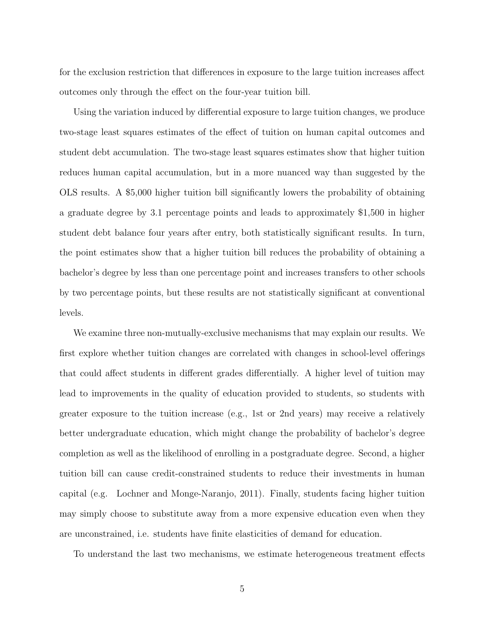for the exclusion restriction that differences in exposure to the large tuition increases affect outcomes only through the effect on the four-year tuition bill.

Using the variation induced by differential exposure to large tuition changes, we produce two-stage least squares estimates of the effect of tuition on human capital outcomes and student debt accumulation. The two-stage least squares estimates show that higher tuition reduces human capital accumulation, but in a more nuanced way than suggested by the OLS results. A \$5,000 higher tuition bill significantly lowers the probability of obtaining a graduate degree by 3.1 percentage points and leads to approximately \$1,500 in higher student debt balance four years after entry, both statistically significant results. In turn, the point estimates show that a higher tuition bill reduces the probability of obtaining a bachelor's degree by less than one percentage point and increases transfers to other schools by two percentage points, but these results are not statistically significant at conventional levels.

We examine three non-mutually-exclusive mechanisms that may explain our results. We first explore whether tuition changes are correlated with changes in school-level offerings that could affect students in different grades differentially. A higher level of tuition may lead to improvements in the quality of education provided to students, so students with greater exposure to the tuition increase (e.g., 1st or 2nd years) may receive a relatively better undergraduate education, which might change the probability of bachelor's degree completion as well as the likelihood of enrolling in a postgraduate degree. Second, a higher tuition bill can cause credit-constrained students to reduce their investments in human capital (e.g. Lochner and Monge-Naranjo, 2011). Finally, students facing higher tuition may simply choose to substitute away from a more expensive education even when they are unconstrained, i.e. students have finite elasticities of demand for education.

To understand the last two mechanisms, we estimate heterogeneous treatment effects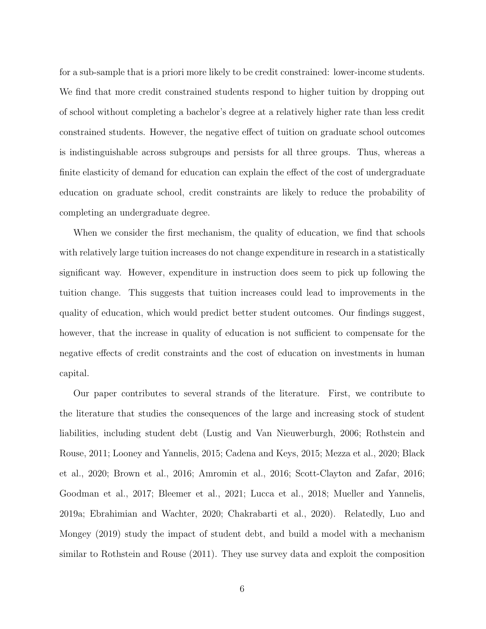for a sub-sample that is a priori more likely to be credit constrained: lower-income students. We find that more credit constrained students respond to higher tuition by dropping out of school without completing a bachelor's degree at a relatively higher rate than less credit constrained students. However, the negative effect of tuition on graduate school outcomes is indistinguishable across subgroups and persists for all three groups. Thus, whereas a finite elasticity of demand for education can explain the effect of the cost of undergraduate education on graduate school, credit constraints are likely to reduce the probability of completing an undergraduate degree.

When we consider the first mechanism, the quality of education, we find that schools with relatively large tuition increases do not change expenditure in research in a statistically significant way. However, expenditure in instruction does seem to pick up following the tuition change. This suggests that tuition increases could lead to improvements in the quality of education, which would predict better student outcomes. Our findings suggest, however, that the increase in quality of education is not sufficient to compensate for the negative effects of credit constraints and the cost of education on investments in human capital.

Our paper contributes to several strands of the literature. First, we contribute to the literature that studies the consequences of the large and increasing stock of student liabilities, including student debt (Lustig and Van Nieuwerburgh, 2006; Rothstein and Rouse, 2011; Looney and Yannelis, 2015; Cadena and Keys, 2015; Mezza et al., 2020; Black et al., 2020; Brown et al., 2016; Amromin et al., 2016; Scott-Clayton and Zafar, 2016; Goodman et al., 2017; Bleemer et al., 2021; Lucca et al., 2018; Mueller and Yannelis, 2019a; Ebrahimian and Wachter, 2020; Chakrabarti et al., 2020). Relatedly, Luo and Mongey (2019) study the impact of student debt, and build a model with a mechanism similar to Rothstein and Rouse (2011). They use survey data and exploit the composition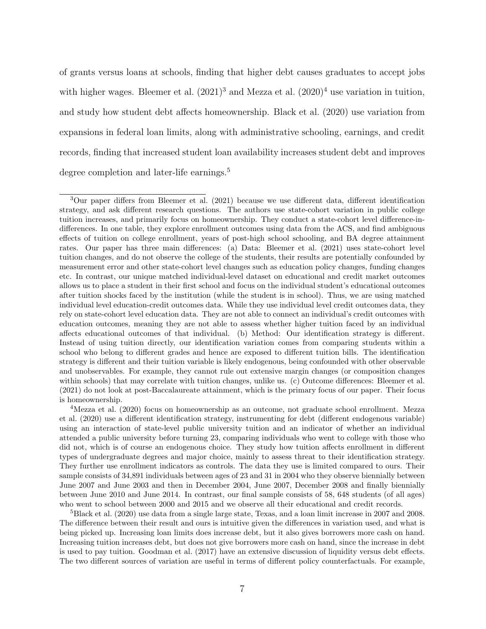of grants versus loans at schools, finding that higher debt causes graduates to accept jobs with higher wages. Bleemer et al.  $(2021)^3$  and Mezza et al.  $(2020)^4$  use variation in tuition, and study how student debt affects homeownership. Black et al. (2020) use variation from expansions in federal loan limits, along with administrative schooling, earnings, and credit records, finding that increased student loan availability increases student debt and improves degree completion and later-life earnings.<sup>5</sup>

<sup>5</sup>Black et al. (2020) use data from a single large state, Texas, and a loan limit increase in 2007 and 2008. The difference between their result and ours is intuitive given the differences in variation used, and what is being picked up. Increasing loan limits does increase debt, but it also gives borrowers more cash on hand. Increasing tuition increases debt, but does not give borrowers more cash on hand, since the increase in debt is used to pay tuition. Goodman et al. (2017) have an extensive discussion of liquidity versus debt effects. The two different sources of variation are useful in terms of different policy counterfactuals. For example,

<sup>3</sup>Our paper differs from Bleemer et al. (2021) because we use different data, different identification strategy, and ask different research questions. The authors use state-cohort variation in public college tuition increases, and primarily focus on homeownership. They conduct a state-cohort level difference-indifferences. In one table, they explore enrollment outcomes using data from the ACS, and find ambiguous effects of tuition on college enrollment, years of post-high school schooling, and BA degree attainment rates. Our paper has three main differences: (a) Data: Bleemer et al. (2021) uses state-cohort level tuition changes, and do not observe the college of the students, their results are potentially confounded by measurement error and other state-cohort level changes such as education policy changes, funding changes etc. In contrast, our unique matched individual-level dataset on educational and credit market outcomes allows us to place a student in their first school and focus on the individual student's educational outcomes after tuition shocks faced by the institution (while the student is in school). Thus, we are using matched individual level education-credit outcomes data. While they use individual level credit outcomes data, they rely on state-cohort level education data. They are not able to connect an individual's credit outcomes with education outcomes, meaning they are not able to assess whether higher tuition faced by an individual affects educational outcomes of that individual. (b) Method: Our identification strategy is different. Instead of using tuition directly, our identification variation comes from comparing students within a school who belong to different grades and hence are exposed to different tuition bills. The identification strategy is different and their tuition variable is likely endogenous, being confounded with other observable and unobservables. For example, they cannot rule out extensive margin changes (or composition changes within schools) that may correlate with tuition changes, unlike us. (c) Outcome differences: Bleemer et al. (2021) do not look at post-Baccalaureate attainment, which is the primary focus of our paper. Their focus is homeownership.

<sup>4</sup>Mezza et al. (2020) focus on homeownership as an outcome, not graduate school enrollment. Mezza et al. (2020) use a different identification strategy, instrumenting for debt (different endogenous variable) using an interaction of state-level public university tuition and an indicator of whether an individual attended a public university before turning 23, comparing individuals who went to college with those who did not, which is of course an endogenous choice. They study how tuition affects enrollment in different types of undergraduate degrees and major choice, mainly to assess threat to their identification strategy. They further use enrollment indicators as controls. The data they use is limited compared to ours. Their sample consists of 34,891 individuals between ages of 23 and 31 in 2004 who they observe biennially between June 2007 and June 2003 and then in December 2004, June 2007, December 2008 and finally biennially between June 2010 and June 2014. In contrast, our final sample consists of 58, 648 students (of all ages) who went to school between 2000 and 2015 and we observe all their educational and credit records.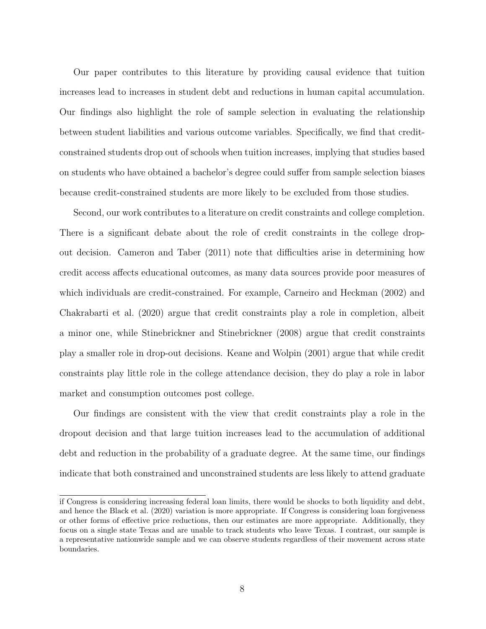Our paper contributes to this literature by providing causal evidence that tuition increases lead to increases in student debt and reductions in human capital accumulation. Our findings also highlight the role of sample selection in evaluating the relationship between student liabilities and various outcome variables. Specifically, we find that creditconstrained students drop out of schools when tuition increases, implying that studies based on students who have obtained a bachelor's degree could suffer from sample selection biases because credit-constrained students are more likely to be excluded from those studies.

Second, our work contributes to a literature on credit constraints and college completion. There is a significant debate about the role of credit constraints in the college dropout decision. Cameron and Taber (2011) note that difficulties arise in determining how credit access affects educational outcomes, as many data sources provide poor measures of which individuals are credit-constrained. For example, Carneiro and Heckman (2002) and Chakrabarti et al. (2020) argue that credit constraints play a role in completion, albeit a minor one, while Stinebrickner and Stinebrickner (2008) argue that credit constraints play a smaller role in drop-out decisions. Keane and Wolpin (2001) argue that while credit constraints play little role in the college attendance decision, they do play a role in labor market and consumption outcomes post college.

Our findings are consistent with the view that credit constraints play a role in the dropout decision and that large tuition increases lead to the accumulation of additional debt and reduction in the probability of a graduate degree. At the same time, our findings indicate that both constrained and unconstrained students are less likely to attend graduate

if Congress is considering increasing federal loan limits, there would be shocks to both liquidity and debt, and hence the Black et al. (2020) variation is more appropriate. If Congress is considering loan forgiveness or other forms of effective price reductions, then our estimates are more appropriate. Additionally, they focus on a single state Texas and are unable to track students who leave Texas. I contrast, our sample is a representative nationwide sample and we can observe students regardless of their movement across state boundaries.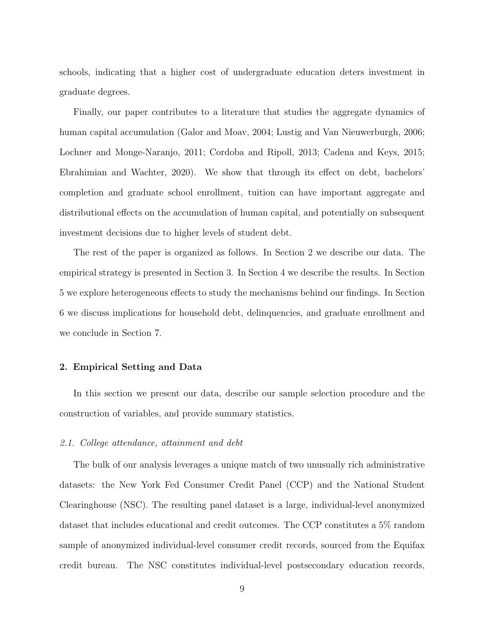schools, indicating that a higher cost of undergraduate education deters investment in graduate degrees.

Finally, our paper contributes to a literature that studies the aggregate dynamics of human capital accumulation (Galor and Moav, 2004; Lustig and Van Nieuwerburgh, 2006; Lochner and Monge-Naranjo, 2011; Cordoba and Ripoll, 2013; Cadena and Keys, 2015; Ebrahimian and Wachter, 2020). We show that through its effect on debt, bachelors' completion and graduate school enrollment, tuition can have important aggregate and distributional effects on the accumulation of human capital, and potentially on subsequent investment decisions due to higher levels of student debt.

The rest of the paper is organized as follows. In Section 2 we describe our data. The empirical strategy is presented in Section 3. In Section 4 we describe the results. In Section 5 we explore heterogeneous effects to study the mechanisms behind our findings. In Section 6 we discuss implications for household debt, delinquencies, and graduate enrollment and we conclude in Section 7.

# 2. Empirical Setting and Data

In this section we present our data, describe our sample selection procedure and the construction of variables, and provide summary statistics.

## 2.1. College attendance, attainment and debt

The bulk of our analysis leverages a unique match of two unusually rich administrative datasets: the New York Fed Consumer Credit Panel (CCP) and the National Student Clearinghouse (NSC). The resulting panel dataset is a large, individual-level anonymized dataset that includes educational and credit outcomes. The CCP constitutes a 5% random sample of anonymized individual-level consumer credit records, sourced from the Equifax credit bureau. The NSC constitutes individual-level postsecondary education records,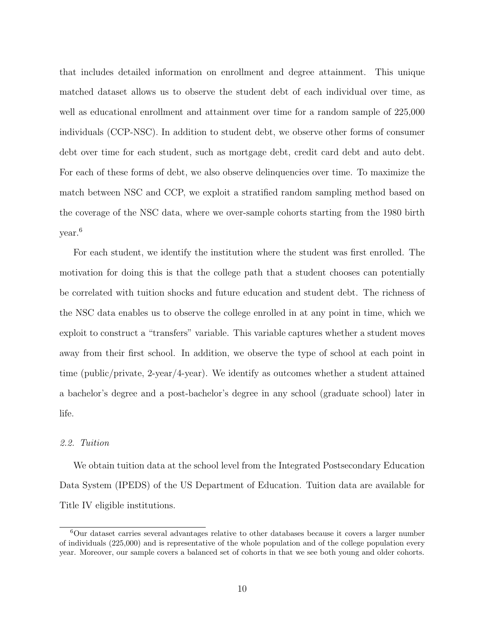that includes detailed information on enrollment and degree attainment. This unique matched dataset allows us to observe the student debt of each individual over time, as well as educational enrollment and attainment over time for a random sample of 225,000 individuals (CCP-NSC). In addition to student debt, we observe other forms of consumer debt over time for each student, such as mortgage debt, credit card debt and auto debt. For each of these forms of debt, we also observe delinquencies over time. To maximize the match between NSC and CCP, we exploit a stratified random sampling method based on the coverage of the NSC data, where we over-sample cohorts starting from the 1980 birth year.<sup>6</sup>

For each student, we identify the institution where the student was first enrolled. The motivation for doing this is that the college path that a student chooses can potentially be correlated with tuition shocks and future education and student debt. The richness of the NSC data enables us to observe the college enrolled in at any point in time, which we exploit to construct a "transfers" variable. This variable captures whether a student moves away from their first school. In addition, we observe the type of school at each point in time (public/private, 2-year/4-year). We identify as outcomes whether a student attained a bachelor's degree and a post-bachelor's degree in any school (graduate school) later in life.

# 2.2. Tuition

We obtain tuition data at the school level from the Integrated Postsecondary Education Data System (IPEDS) of the US Department of Education. Tuition data are available for Title IV eligible institutions.

<sup>6</sup>Our dataset carries several advantages relative to other databases because it covers a larger number of individuals (225,000) and is representative of the whole population and of the college population every year. Moreover, our sample covers a balanced set of cohorts in that we see both young and older cohorts.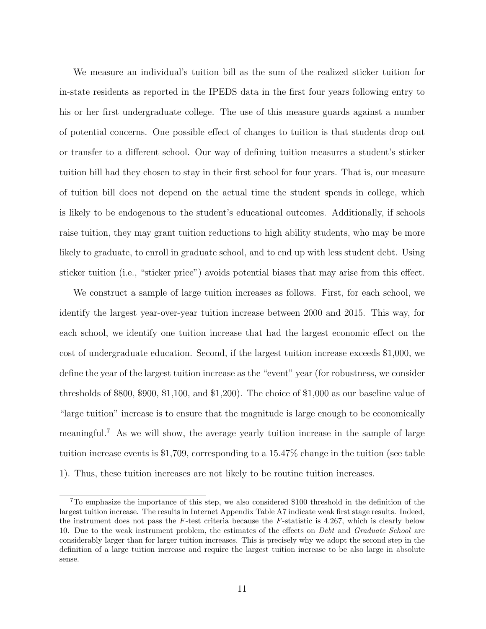We measure an individual's tuition bill as the sum of the realized sticker tuition for in-state residents as reported in the IPEDS data in the first four years following entry to his or her first undergraduate college. The use of this measure guards against a number of potential concerns. One possible effect of changes to tuition is that students drop out or transfer to a different school. Our way of defining tuition measures a student's sticker tuition bill had they chosen to stay in their first school for four years. That is, our measure of tuition bill does not depend on the actual time the student spends in college, which is likely to be endogenous to the student's educational outcomes. Additionally, if schools raise tuition, they may grant tuition reductions to high ability students, who may be more likely to graduate, to enroll in graduate school, and to end up with less student debt. Using sticker tuition (i.e., "sticker price") avoids potential biases that may arise from this effect.

We construct a sample of large tuition increases as follows. First, for each school, we identify the largest year-over-year tuition increase between 2000 and 2015. This way, for each school, we identify one tuition increase that had the largest economic effect on the cost of undergraduate education. Second, if the largest tuition increase exceeds \$1,000, we define the year of the largest tuition increase as the "event" year (for robustness, we consider thresholds of \$800, \$900, \$1,100, and \$1,200). The choice of \$1,000 as our baseline value of "large tuition" increase is to ensure that the magnitude is large enough to be economically meaningful.<sup>7</sup> As we will show, the average yearly tuition increase in the sample of large tuition increase events is \$1,709, corresponding to a 15.47% change in the tuition (see table 1). Thus, these tuition increases are not likely to be routine tuition increases.

<sup>7</sup>To emphasize the importance of this step, we also considered \$100 threshold in the definition of the largest tuition increase. The results in Internet Appendix Table A7 indicate weak first stage results. Indeed, the instrument does not pass the F-test criteria because the F-statistic is 4.267, which is clearly below 10. Due to the weak instrument problem, the estimates of the effects on *Debt* and *Graduate School* are considerably larger than for larger tuition increases. This is precisely why we adopt the second step in the definition of a large tuition increase and require the largest tuition increase to be also large in absolute sense.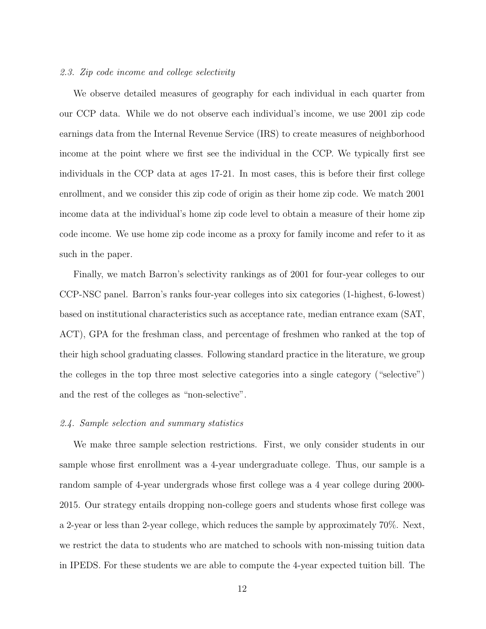#### 2.3. Zip code income and college selectivity

We observe detailed measures of geography for each individual in each quarter from our CCP data. While we do not observe each individual's income, we use 2001 zip code earnings data from the Internal Revenue Service (IRS) to create measures of neighborhood income at the point where we first see the individual in the CCP. We typically first see individuals in the CCP data at ages 17-21. In most cases, this is before their first college enrollment, and we consider this zip code of origin as their home zip code. We match 2001 income data at the individual's home zip code level to obtain a measure of their home zip code income. We use home zip code income as a proxy for family income and refer to it as such in the paper.

Finally, we match Barron's selectivity rankings as of 2001 for four-year colleges to our CCP-NSC panel. Barron's ranks four-year colleges into six categories (1-highest, 6-lowest) based on institutional characteristics such as acceptance rate, median entrance exam (SAT, ACT), GPA for the freshman class, and percentage of freshmen who ranked at the top of their high school graduating classes. Following standard practice in the literature, we group the colleges in the top three most selective categories into a single category ("selective") and the rest of the colleges as "non-selective".

## 2.4. Sample selection and summary statistics

We make three sample selection restrictions. First, we only consider students in our sample whose first enrollment was a 4-year undergraduate college. Thus, our sample is a random sample of 4-year undergrads whose first college was a 4 year college during 2000- 2015. Our strategy entails dropping non-college goers and students whose first college was a 2-year or less than 2-year college, which reduces the sample by approximately 70%. Next, we restrict the data to students who are matched to schools with non-missing tuition data in IPEDS. For these students we are able to compute the 4-year expected tuition bill. The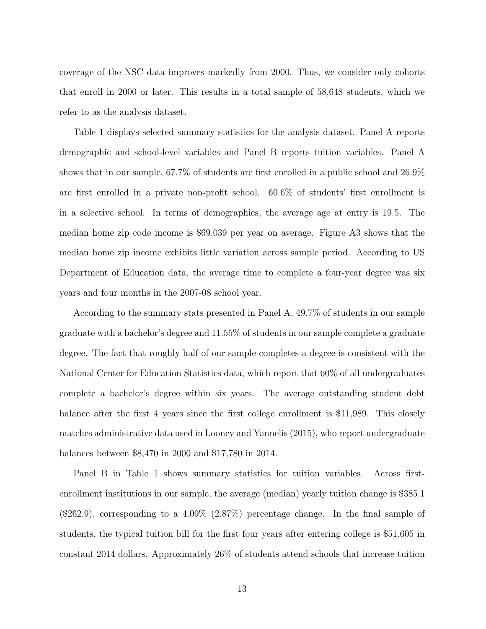coverage of the NSC data improves markedly from 2000. Thus, we consider only cohorts that enroll in 2000 or later. This results in a total sample of 58,648 students, which we refer to as the analysis dataset.

Table 1 displays selected summary statistics for the analysis dataset. Panel A reports demographic and school-level variables and Panel B reports tuition variables. Panel A shows that in our sample, 67.7% of students are first enrolled in a public school and 26.9% are first enrolled in a private non-profit school. 60.6% of students' first enrollment is in a selective school. In terms of demographics, the average age at entry is 19.5. The median home zip code income is \$69,039 per year on average. Figure A3 shows that the median home zip income exhibits little variation across sample period. According to US Department of Education data, the average time to complete a four-year degree was six years and four months in the 2007-08 school year.

According to the summary stats presented in Panel A, 49.7% of students in our sample graduate with a bachelor's degree and 11.55% of students in our sample complete a graduate degree. The fact that roughly half of our sample completes a degree is consistent with the National Center for Education Statistics data, which report that 60% of all undergraduates complete a bachelor's degree within six years. The average outstanding student debt balance after the first 4 years since the first college enrollment is \$11,989. This closely matches administrative data used in Looney and Yannelis (2015), who report undergraduate balances between \$8,470 in 2000 and \$17,780 in 2014.

Panel B in Table 1 shows summary statistics for tuition variables. Across firstenrollment institutions in our sample, the average (median) yearly tuition change is \$385.1 (\$262.9), corresponding to a 4.09% (2.87%) percentage change. In the final sample of students, the typical tuition bill for the first four years after entering college is \$51,605 in constant 2014 dollars. Approximately 26% of students attend schools that increase tuition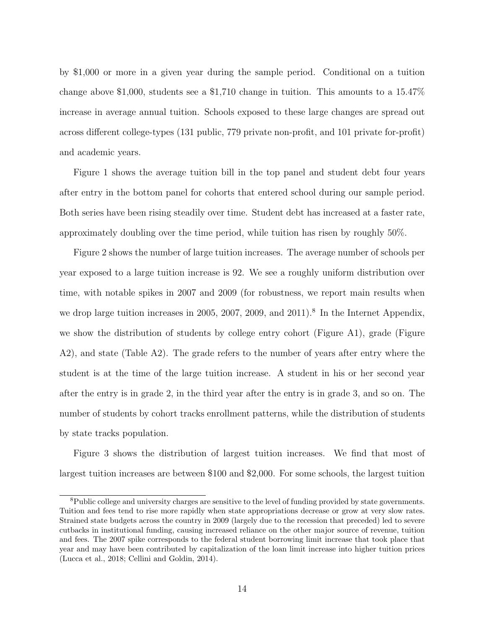by \$1,000 or more in a given year during the sample period. Conditional on a tuition change above \$1,000, students see a \$1,710 change in tuition. This amounts to a 15.47% increase in average annual tuition. Schools exposed to these large changes are spread out across different college-types (131 public, 779 private non-profit, and 101 private for-profit) and academic years.

Figure 1 shows the average tuition bill in the top panel and student debt four years after entry in the bottom panel for cohorts that entered school during our sample period. Both series have been rising steadily over time. Student debt has increased at a faster rate, approximately doubling over the time period, while tuition has risen by roughly 50%.

Figure 2 shows the number of large tuition increases. The average number of schools per year exposed to a large tuition increase is 92. We see a roughly uniform distribution over time, with notable spikes in 2007 and 2009 (for robustness, we report main results when we drop large tuition increases in 2005, 2007, 2009, and 2011).<sup>8</sup> In the Internet Appendix, we show the distribution of students by college entry cohort (Figure A1), grade (Figure A2), and state (Table A2). The grade refers to the number of years after entry where the student is at the time of the large tuition increase. A student in his or her second year after the entry is in grade 2, in the third year after the entry is in grade 3, and so on. The number of students by cohort tracks enrollment patterns, while the distribution of students by state tracks population.

Figure 3 shows the distribution of largest tuition increases. We find that most of largest tuition increases are between \$100 and \$2,000. For some schools, the largest tuition

<sup>&</sup>lt;sup>8</sup>Public college and university charges are sensitive to the level of funding provided by state governments. Tuition and fees tend to rise more rapidly when state appropriations decrease or grow at very slow rates. Strained state budgets across the country in 2009 (largely due to the recession that preceded) led to severe cutbacks in institutional funding, causing increased reliance on the other major source of revenue, tuition and fees. The 2007 spike corresponds to the federal student borrowing limit increase that took place that year and may have been contributed by capitalization of the loan limit increase into higher tuition prices (Lucca et al., 2018; Cellini and Goldin, 2014).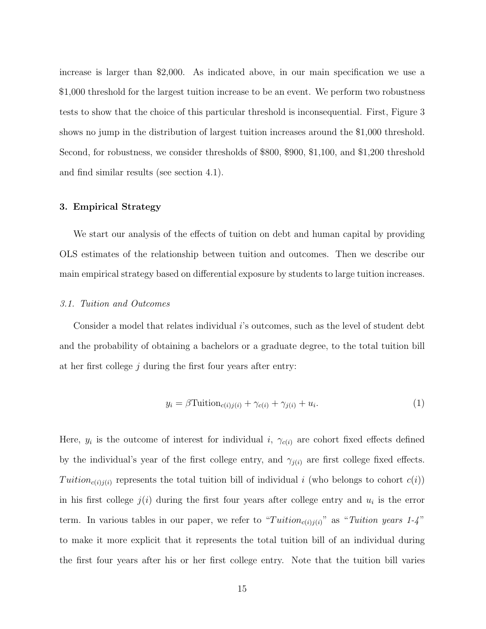increase is larger than \$2,000. As indicated above, in our main specification we use a \$1,000 threshold for the largest tuition increase to be an event. We perform two robustness tests to show that the choice of this particular threshold is inconsequential. First, Figure 3 shows no jump in the distribution of largest tuition increases around the \$1,000 threshold. Second, for robustness, we consider thresholds of \$800, \$900, \$1,100, and \$1,200 threshold and find similar results (see section 4.1).

# 3. Empirical Strategy

We start our analysis of the effects of tuition on debt and human capital by providing OLS estimates of the relationship between tuition and outcomes. Then we describe our main empirical strategy based on differential exposure by students to large tuition increases.

#### 3.1. Tuition and Outcomes

Consider a model that relates individual i's outcomes, such as the level of student debt and the probability of obtaining a bachelors or a graduate degree, to the total tuition bill at her first college  $j$  during the first four years after entry:

$$
y_i = \beta \text{Tution}_{c(i)j(i)} + \gamma_{c(i)} + \gamma_{j(i)} + u_i.
$$
\n<sup>(1)</sup>

Here,  $y_i$  is the outcome of interest for individual i,  $\gamma_{c(i)}$  are cohort fixed effects defined by the individual's year of the first college entry, and  $\gamma_{i(i)}$  are first college fixed effects. Tuition<sub>c(i)j(i)</sub> represents the total tuition bill of individual i (who belongs to cohort  $c(i)$ ) in his first college  $j(i)$  during the first four years after college entry and  $u_i$  is the error term. In various tables in our paper, we refer to "Tuition<sub>c(i)j(i)</sub>" as "Tuition years 1-4" to make it more explicit that it represents the total tuition bill of an individual during the first four years after his or her first college entry. Note that the tuition bill varies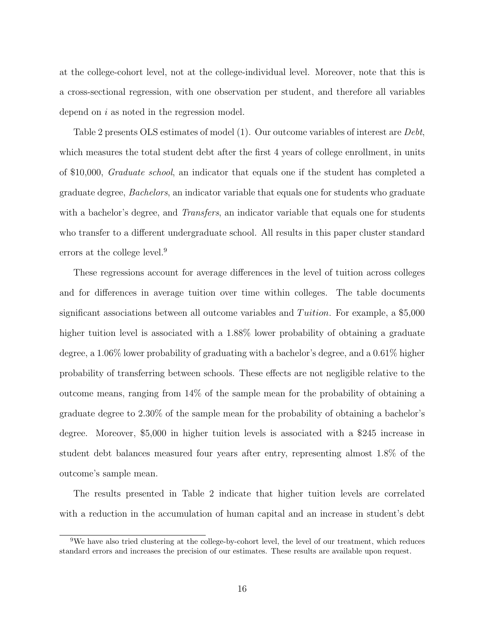at the college-cohort level, not at the college-individual level. Moreover, note that this is a cross-sectional regression, with one observation per student, and therefore all variables depend on i as noted in the regression model.

Table 2 presents OLS estimates of model (1). Our outcome variables of interest are *Debt*, which measures the total student debt after the first 4 years of college enrollment, in units of \$10,000, Graduate school, an indicator that equals one if the student has completed a graduate degree, Bachelors, an indicator variable that equals one for students who graduate with a bachelor's degree, and *Transfers*, an indicator variable that equals one for students who transfer to a different undergraduate school. All results in this paper cluster standard errors at the college level.<sup>9</sup>

These regressions account for average differences in the level of tuition across colleges and for differences in average tuition over time within colleges. The table documents significant associations between all outcome variables and  $T$  uition. For example, a \$5,000 higher tuition level is associated with a 1.88% lower probability of obtaining a graduate degree, a 1.06% lower probability of graduating with a bachelor's degree, and a 0.61% higher probability of transferring between schools. These effects are not negligible relative to the outcome means, ranging from 14% of the sample mean for the probability of obtaining a graduate degree to 2.30% of the sample mean for the probability of obtaining a bachelor's degree. Moreover, \$5,000 in higher tuition levels is associated with a \$245 increase in student debt balances measured four years after entry, representing almost 1.8% of the outcome's sample mean.

The results presented in Table 2 indicate that higher tuition levels are correlated with a reduction in the accumulation of human capital and an increase in student's debt

<sup>&</sup>lt;sup>9</sup>We have also tried clustering at the college-by-cohort level, the level of our treatment, which reduces standard errors and increases the precision of our estimates. These results are available upon request.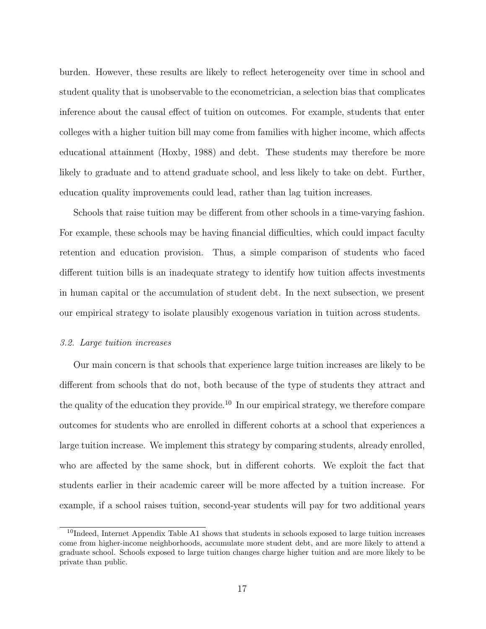burden. However, these results are likely to reflect heterogeneity over time in school and student quality that is unobservable to the econometrician, a selection bias that complicates inference about the causal effect of tuition on outcomes. For example, students that enter colleges with a higher tuition bill may come from families with higher income, which affects educational attainment (Hoxby, 1988) and debt. These students may therefore be more likely to graduate and to attend graduate school, and less likely to take on debt. Further, education quality improvements could lead, rather than lag tuition increases.

Schools that raise tuition may be different from other schools in a time-varying fashion. For example, these schools may be having financial difficulties, which could impact faculty retention and education provision. Thus, a simple comparison of students who faced different tuition bills is an inadequate strategy to identify how tuition affects investments in human capital or the accumulation of student debt. In the next subsection, we present our empirical strategy to isolate plausibly exogenous variation in tuition across students.

## 3.2. Large tuition increases

Our main concern is that schools that experience large tuition increases are likely to be different from schools that do not, both because of the type of students they attract and the quality of the education they provide.<sup>10</sup> In our empirical strategy, we therefore compare outcomes for students who are enrolled in different cohorts at a school that experiences a large tuition increase. We implement this strategy by comparing students, already enrolled, who are affected by the same shock, but in different cohorts. We exploit the fact that students earlier in their academic career will be more affected by a tuition increase. For example, if a school raises tuition, second-year students will pay for two additional years

<sup>&</sup>lt;sup>10</sup>Indeed, Internet Appendix Table A1 shows that students in schools exposed to large tuition increases come from higher-income neighborhoods, accumulate more student debt, and are more likely to attend a graduate school. Schools exposed to large tuition changes charge higher tuition and are more likely to be private than public.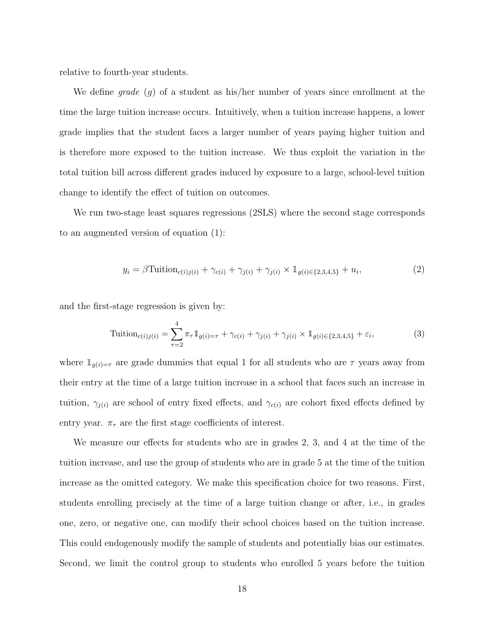relative to fourth-year students.

We define *grade*  $(g)$  of a student as his/her number of years since enrollment at the time the large tuition increase occurs. Intuitively, when a tuition increase happens, a lower grade implies that the student faces a larger number of years paying higher tuition and is therefore more exposed to the tuition increase. We thus exploit the variation in the total tuition bill across different grades induced by exposure to a large, school-level tuition change to identify the effect of tuition on outcomes.

We run two-stage least squares regressions (2SLS) where the second stage corresponds to an augmented version of equation (1):

$$
y_i = \beta \text{Tution}_{c(i)j(i)} + \gamma_{c(i)} + \gamma_{j(i)} + \gamma_{j(i)} \times \mathbb{1}_{g(i) \in \{2, 3, 4, 5\}} + u_i,
$$
\n(2)

and the first-stage regression is given by:

$$
\text{Tution}_{c(i)j(i)} = \sum_{\tau=2}^{4} \pi_{\tau} \mathbb{1}_{g(i)=\tau} + \gamma_{c(i)} + \gamma_{j(i)} + \gamma_{j(i)} \times \mathbb{1}_{g(i) \in \{2,3,4,5\}} + \varepsilon_i,
$$
\n(3)

where  $\mathbb{1}_{g(i)=\tau}$  are grade dummies that equal 1 for all students who are  $\tau$  years away from their entry at the time of a large tuition increase in a school that faces such an increase in tuition,  $\gamma_{i(i)}$  are school of entry fixed effects, and  $\gamma_{c(i)}$  are cohort fixed effects defined by entry year.  $\pi_{\tau}$  are the first stage coefficients of interest.

We measure our effects for students who are in grades 2, 3, and 4 at the time of the tuition increase, and use the group of students who are in grade 5 at the time of the tuition increase as the omitted category. We make this specification choice for two reasons. First, students enrolling precisely at the time of a large tuition change or after, i.e., in grades one, zero, or negative one, can modify their school choices based on the tuition increase. This could endogenously modify the sample of students and potentially bias our estimates. Second, we limit the control group to students who enrolled 5 years before the tuition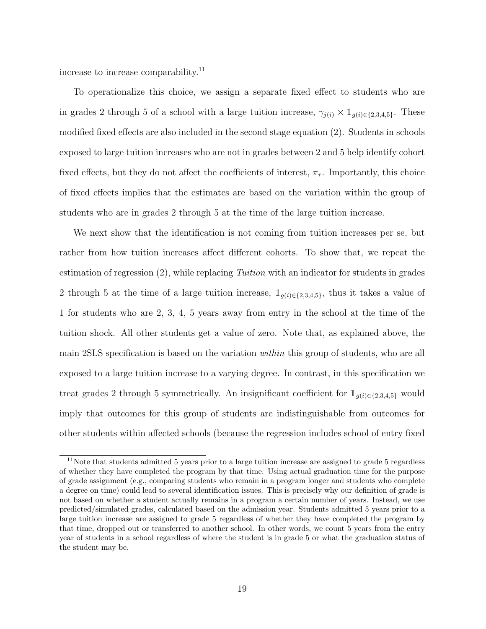increase to increase comparability.<sup>11</sup>

To operationalize this choice, we assign a separate fixed effect to students who are in grades 2 through 5 of a school with a large tuition increase,  $\gamma_{j(i)} \times \mathbb{1}_{g(i) \in \{2,3,4,5\}}$ . These modified fixed effects are also included in the second stage equation (2). Students in schools exposed to large tuition increases who are not in grades between 2 and 5 help identify cohort fixed effects, but they do not affect the coefficients of interest,  $\pi_{\tau}$ . Importantly, this choice of fixed effects implies that the estimates are based on the variation within the group of students who are in grades 2 through 5 at the time of the large tuition increase.

We next show that the identification is not coming from tuition increases per se, but rather from how tuition increases affect different cohorts. To show that, we repeat the estimation of regression  $(2)$ , while replacing Tuition with an indicator for students in grades 2 through 5 at the time of a large tuition increase,  $\mathbb{1}_{g(i)\in\{2,3,4,5\}}$ , thus it takes a value of 1 for students who are 2, 3, 4, 5 years away from entry in the school at the time of the tuition shock. All other students get a value of zero. Note that, as explained above, the main 2SLS specification is based on the variation within this group of students, who are all exposed to a large tuition increase to a varying degree. In contrast, in this specification we treat grades 2 through 5 symmetrically. An insignificant coefficient for  $\mathbb{1}_{g(i)\in\{2,3,4,5\}}$  would imply that outcomes for this group of students are indistinguishable from outcomes for other students within affected schools (because the regression includes school of entry fixed

<sup>&</sup>lt;sup>11</sup>Note that students admitted 5 years prior to a large tuition increase are assigned to grade 5 regardless of whether they have completed the program by that time. Using actual graduation time for the purpose of grade assignment (e.g., comparing students who remain in a program longer and students who complete a degree on time) could lead to several identification issues. This is precisely why our definition of grade is not based on whether a student actually remains in a program a certain number of years. Instead, we use predicted/simulated grades, calculated based on the admission year. Students admitted 5 years prior to a large tuition increase are assigned to grade 5 regardless of whether they have completed the program by that time, dropped out or transferred to another school. In other words, we count 5 years from the entry year of students in a school regardless of where the student is in grade 5 or what the graduation status of the student may be.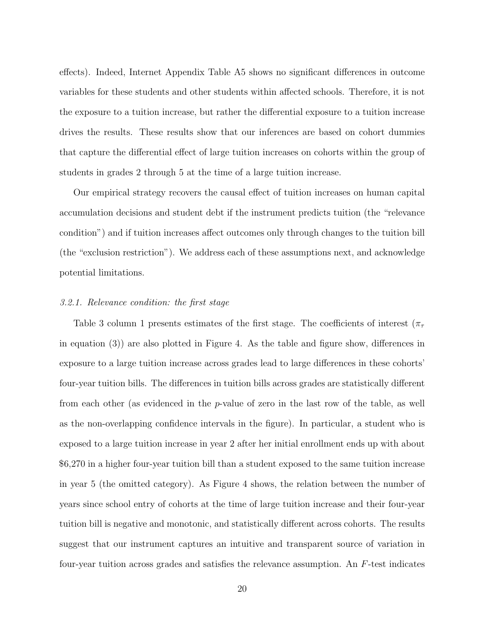effects). Indeed, Internet Appendix Table A5 shows no significant differences in outcome variables for these students and other students within affected schools. Therefore, it is not the exposure to a tuition increase, but rather the differential exposure to a tuition increase drives the results. These results show that our inferences are based on cohort dummies that capture the differential effect of large tuition increases on cohorts within the group of students in grades 2 through 5 at the time of a large tuition increase.

Our empirical strategy recovers the causal effect of tuition increases on human capital accumulation decisions and student debt if the instrument predicts tuition (the "relevance condition") and if tuition increases affect outcomes only through changes to the tuition bill (the "exclusion restriction"). We address each of these assumptions next, and acknowledge potential limitations.

#### 3.2.1. Relevance condition: the first stage

Table 3 column 1 presents estimates of the first stage. The coefficients of interest ( $\pi_{\tau}$ ) in equation (3)) are also plotted in Figure 4. As the table and figure show, differences in exposure to a large tuition increase across grades lead to large differences in these cohorts' four-year tuition bills. The differences in tuition bills across grades are statistically different from each other (as evidenced in the p-value of zero in the last row of the table, as well as the non-overlapping confidence intervals in the figure). In particular, a student who is exposed to a large tuition increase in year 2 after her initial enrollment ends up with about \$6,270 in a higher four-year tuition bill than a student exposed to the same tuition increase in year 5 (the omitted category). As Figure 4 shows, the relation between the number of years since school entry of cohorts at the time of large tuition increase and their four-year tuition bill is negative and monotonic, and statistically different across cohorts. The results suggest that our instrument captures an intuitive and transparent source of variation in four-year tuition across grades and satisfies the relevance assumption. An  $F$ -test indicates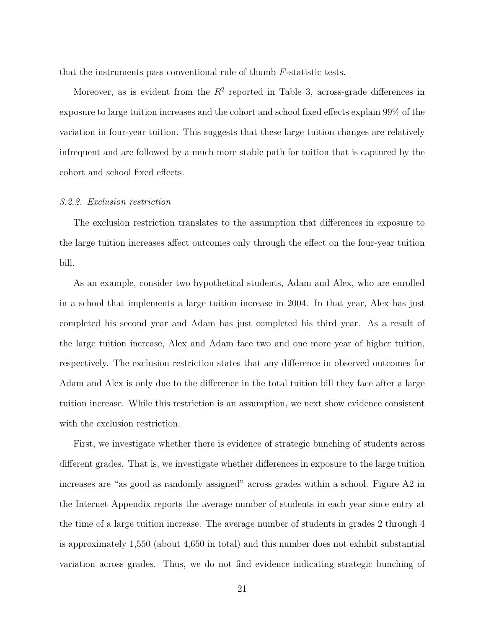that the instruments pass conventional rule of thumb F-statistic tests.

Moreover, as is evident from the  $R^2$  reported in Table 3, across-grade differences in exposure to large tuition increases and the cohort and school fixed effects explain 99% of the variation in four-year tuition. This suggests that these large tuition changes are relatively infrequent and are followed by a much more stable path for tuition that is captured by the cohort and school fixed effects.

## 3.2.2. Exclusion restriction

The exclusion restriction translates to the assumption that differences in exposure to the large tuition increases affect outcomes only through the effect on the four-year tuition bill.

As an example, consider two hypothetical students, Adam and Alex, who are enrolled in a school that implements a large tuition increase in 2004. In that year, Alex has just completed his second year and Adam has just completed his third year. As a result of the large tuition increase, Alex and Adam face two and one more year of higher tuition, respectively. The exclusion restriction states that any difference in observed outcomes for Adam and Alex is only due to the difference in the total tuition bill they face after a large tuition increase. While this restriction is an assumption, we next show evidence consistent with the exclusion restriction.

First, we investigate whether there is evidence of strategic bunching of students across different grades. That is, we investigate whether differences in exposure to the large tuition increases are "as good as randomly assigned" across grades within a school. Figure A2 in the Internet Appendix reports the average number of students in each year since entry at the time of a large tuition increase. The average number of students in grades 2 through 4 is approximately 1,550 (about 4,650 in total) and this number does not exhibit substantial variation across grades. Thus, we do not find evidence indicating strategic bunching of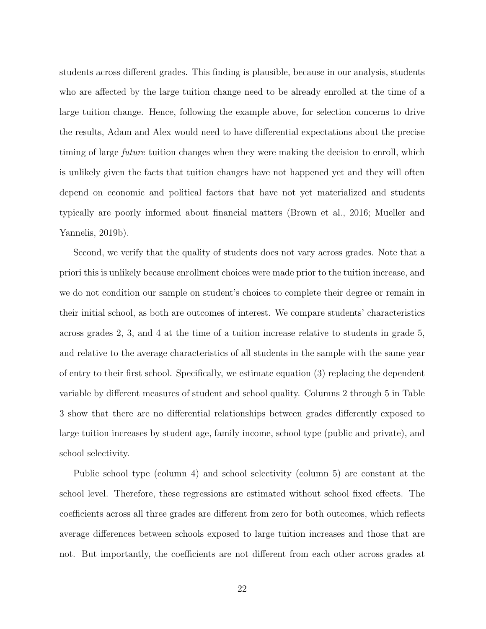students across different grades. This finding is plausible, because in our analysis, students who are affected by the large tuition change need to be already enrolled at the time of a large tuition change. Hence, following the example above, for selection concerns to drive the results, Adam and Alex would need to have differential expectations about the precise timing of large *future* tuition changes when they were making the decision to enroll, which is unlikely given the facts that tuition changes have not happened yet and they will often depend on economic and political factors that have not yet materialized and students typically are poorly informed about financial matters (Brown et al., 2016; Mueller and Yannelis, 2019b).

Second, we verify that the quality of students does not vary across grades. Note that a priori this is unlikely because enrollment choices were made prior to the tuition increase, and we do not condition our sample on student's choices to complete their degree or remain in their initial school, as both are outcomes of interest. We compare students' characteristics across grades 2, 3, and 4 at the time of a tuition increase relative to students in grade 5, and relative to the average characteristics of all students in the sample with the same year of entry to their first school. Specifically, we estimate equation (3) replacing the dependent variable by different measures of student and school quality. Columns 2 through 5 in Table 3 show that there are no differential relationships between grades differently exposed to large tuition increases by student age, family income, school type (public and private), and school selectivity.

Public school type (column 4) and school selectivity (column 5) are constant at the school level. Therefore, these regressions are estimated without school fixed effects. The coefficients across all three grades are different from zero for both outcomes, which reflects average differences between schools exposed to large tuition increases and those that are not. But importantly, the coefficients are not different from each other across grades at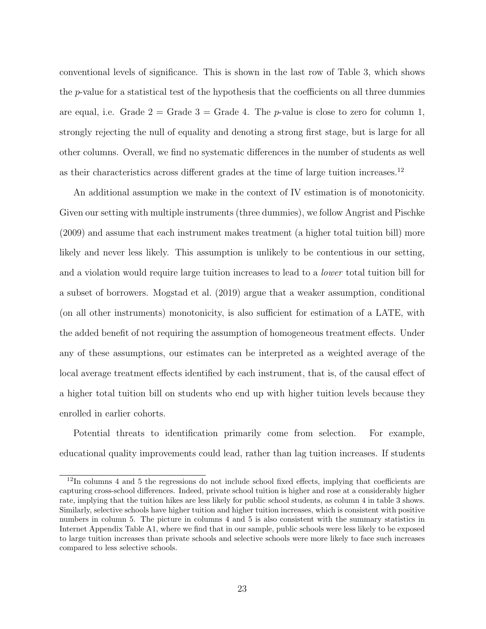conventional levels of significance. This is shown in the last row of Table 3, which shows the  $p$ -value for a statistical test of the hypothesis that the coefficients on all three dummies are equal, i.e. Grade  $2 =$  Grade  $3 =$  Grade 4. The *p*-value is close to zero for column 1, strongly rejecting the null of equality and denoting a strong first stage, but is large for all other columns. Overall, we find no systematic differences in the number of students as well as their characteristics across different grades at the time of large tuition increases.<sup>12</sup>

An additional assumption we make in the context of IV estimation is of monotonicity. Given our setting with multiple instruments (three dummies), we follow Angrist and Pischke (2009) and assume that each instrument makes treatment (a higher total tuition bill) more likely and never less likely. This assumption is unlikely to be contentious in our setting, and a violation would require large tuition increases to lead to a lower total tuition bill for a subset of borrowers. Mogstad et al. (2019) argue that a weaker assumption, conditional (on all other instruments) monotonicity, is also sufficient for estimation of a LATE, with the added benefit of not requiring the assumption of homogeneous treatment effects. Under any of these assumptions, our estimates can be interpreted as a weighted average of the local average treatment effects identified by each instrument, that is, of the causal effect of a higher total tuition bill on students who end up with higher tuition levels because they enrolled in earlier cohorts.

Potential threats to identification primarily come from selection. For example, educational quality improvements could lead, rather than lag tuition increases. If students

<sup>12</sup>In columns 4 and 5 the regressions do not include school fixed effects, implying that coefficients are capturing cross-school differences. Indeed, private school tuition is higher and rose at a considerably higher rate, implying that the tuition hikes are less likely for public school students, as column 4 in table 3 shows. Similarly, selective schools have higher tuition and higher tuition increases, which is consistent with positive numbers in column 5. The picture in columns 4 and 5 is also consistent with the summary statistics in Internet Appendix Table A1, where we find that in our sample, public schools were less likely to be exposed to large tuition increases than private schools and selective schools were more likely to face such increases compared to less selective schools.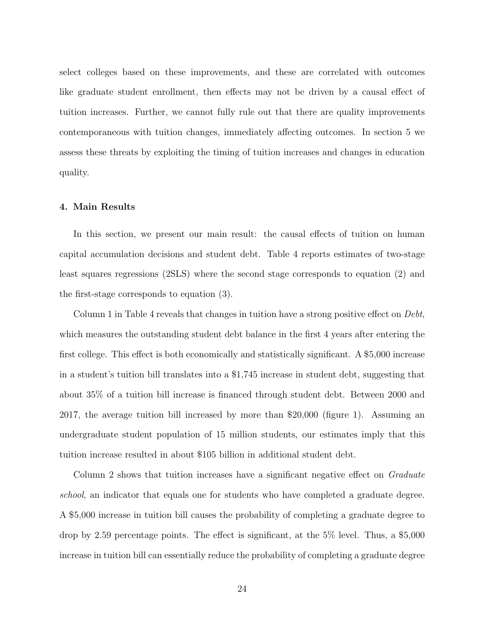select colleges based on these improvements, and these are correlated with outcomes like graduate student enrollment, then effects may not be driven by a causal effect of tuition increases. Further, we cannot fully rule out that there are quality improvements contemporaneous with tuition changes, immediately affecting outcomes. In section 5 we assess these threats by exploiting the timing of tuition increases and changes in education quality.

## 4. Main Results

In this section, we present our main result: the causal effects of tuition on human capital accumulation decisions and student debt. Table 4 reports estimates of two-stage least squares regressions (2SLS) where the second stage corresponds to equation (2) and the first-stage corresponds to equation (3).

Column 1 in Table 4 reveals that changes in tuition have a strong positive effect on *Debt*, which measures the outstanding student debt balance in the first 4 years after entering the first college. This effect is both economically and statistically significant. A \$5,000 increase in a student's tuition bill translates into a \$1,745 increase in student debt, suggesting that about 35% of a tuition bill increase is financed through student debt. Between 2000 and 2017, the average tuition bill increased by more than \$20,000 (figure 1). Assuming an undergraduate student population of 15 million students, our estimates imply that this tuition increase resulted in about \$105 billion in additional student debt.

Column 2 shows that tuition increases have a significant negative effect on *Graduate* school, an indicator that equals one for students who have completed a graduate degree. A \$5,000 increase in tuition bill causes the probability of completing a graduate degree to drop by 2.59 percentage points. The effect is significant, at the 5% level. Thus, a \$5,000 increase in tuition bill can essentially reduce the probability of completing a graduate degree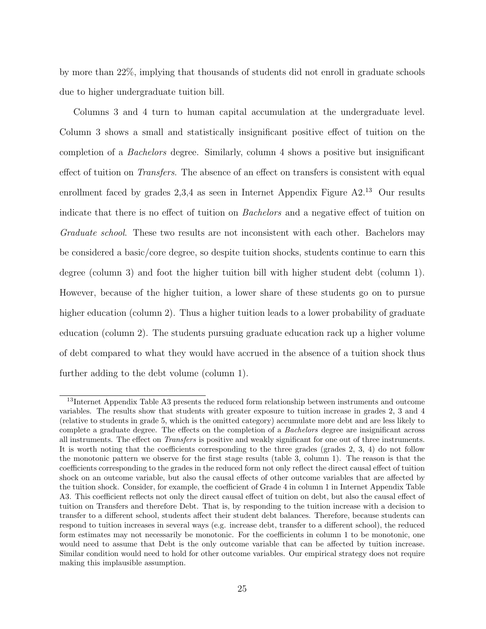by more than 22%, implying that thousands of students did not enroll in graduate schools due to higher undergraduate tuition bill.

Columns 3 and 4 turn to human capital accumulation at the undergraduate level. Column 3 shows a small and statistically insignificant positive effect of tuition on the completion of a Bachelors degree. Similarly, column 4 shows a positive but insignificant effect of tuition on *Transfers*. The absence of an effect on transfers is consistent with equal enrollment faced by grades  $2,3,4$  as seen in Internet Appendix Figure  $A2<sup>13</sup>$  Our results indicate that there is no effect of tuition on Bachelors and a negative effect of tuition on Graduate school. These two results are not inconsistent with each other. Bachelors may be considered a basic/core degree, so despite tuition shocks, students continue to earn this degree (column 3) and foot the higher tuition bill with higher student debt (column 1). However, because of the higher tuition, a lower share of these students go on to pursue higher education (column 2). Thus a higher tuition leads to a lower probability of graduate education (column 2). The students pursuing graduate education rack up a higher volume of debt compared to what they would have accrued in the absence of a tuition shock thus further adding to the debt volume (column 1).

<sup>13</sup>Internet Appendix Table A3 presents the reduced form relationship between instruments and outcome variables. The results show that students with greater exposure to tuition increase in grades 2, 3 and 4 (relative to students in grade 5, which is the omitted category) accumulate more debt and are less likely to complete a graduate degree. The effects on the completion of a Bachelors degree are insignificant across all instruments. The effect on Transfers is positive and weakly significant for one out of three instruments. It is worth noting that the coefficients corresponding to the three grades (grades 2, 3, 4) do not follow the monotonic pattern we observe for the first stage results (table 3, column 1). The reason is that the coefficients corresponding to the grades in the reduced form not only reflect the direct causal effect of tuition shock on an outcome variable, but also the causal effects of other outcome variables that are affected by the tuition shock. Consider, for example, the coefficient of Grade 4 in column 1 in Internet Appendix Table A3. This coefficient reflects not only the direct causal effect of tuition on debt, but also the causal effect of tuition on Transfers and therefore Debt. That is, by responding to the tuition increase with a decision to transfer to a different school, students affect their student debt balances. Therefore, because students can respond to tuition increases in several ways (e.g. increase debt, transfer to a different school), the reduced form estimates may not necessarily be monotonic. For the coefficients in column 1 to be monotonic, one would need to assume that Debt is the only outcome variable that can be affected by tuition increase. Similar condition would need to hold for other outcome variables. Our empirical strategy does not require making this implausible assumption.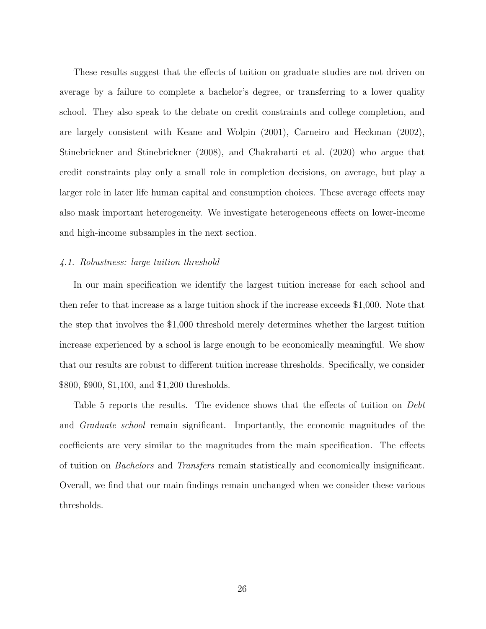These results suggest that the effects of tuition on graduate studies are not driven on average by a failure to complete a bachelor's degree, or transferring to a lower quality school. They also speak to the debate on credit constraints and college completion, and are largely consistent with Keane and Wolpin (2001), Carneiro and Heckman (2002), Stinebrickner and Stinebrickner (2008), and Chakrabarti et al. (2020) who argue that credit constraints play only a small role in completion decisions, on average, but play a larger role in later life human capital and consumption choices. These average effects may also mask important heterogeneity. We investigate heterogeneous effects on lower-income and high-income subsamples in the next section.

## 4.1. Robustness: large tuition threshold

In our main specification we identify the largest tuition increase for each school and then refer to that increase as a large tuition shock if the increase exceeds \$1,000. Note that the step that involves the \$1,000 threshold merely determines whether the largest tuition increase experienced by a school is large enough to be economically meaningful. We show that our results are robust to different tuition increase thresholds. Specifically, we consider \$800, \$900, \$1,100, and \$1,200 thresholds.

Table 5 reports the results. The evidence shows that the effects of tuition on Debt and Graduate school remain significant. Importantly, the economic magnitudes of the coefficients are very similar to the magnitudes from the main specification. The effects of tuition on Bachelors and Transfers remain statistically and economically insignificant. Overall, we find that our main findings remain unchanged when we consider these various thresholds.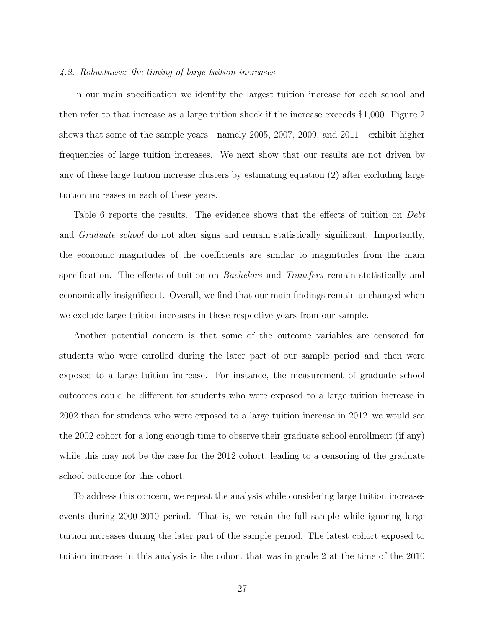#### 4.2. Robustness: the timing of large tuition increases

In our main specification we identify the largest tuition increase for each school and then refer to that increase as a large tuition shock if the increase exceeds \$1,000. Figure 2 shows that some of the sample years—namely 2005, 2007, 2009, and 2011—exhibit higher frequencies of large tuition increases. We next show that our results are not driven by any of these large tuition increase clusters by estimating equation (2) after excluding large tuition increases in each of these years.

Table 6 reports the results. The evidence shows that the effects of tuition on *Debt* and Graduate school do not alter signs and remain statistically significant. Importantly, the economic magnitudes of the coefficients are similar to magnitudes from the main specification. The effects of tuition on Bachelors and Transfers remain statistically and economically insignificant. Overall, we find that our main findings remain unchanged when we exclude large tuition increases in these respective years from our sample.

Another potential concern is that some of the outcome variables are censored for students who were enrolled during the later part of our sample period and then were exposed to a large tuition increase. For instance, the measurement of graduate school outcomes could be different for students who were exposed to a large tuition increase in 2002 than for students who were exposed to a large tuition increase in 2012–we would see the 2002 cohort for a long enough time to observe their graduate school enrollment (if any) while this may not be the case for the 2012 cohort, leading to a censoring of the graduate school outcome for this cohort.

To address this concern, we repeat the analysis while considering large tuition increases events during 2000-2010 period. That is, we retain the full sample while ignoring large tuition increases during the later part of the sample period. The latest cohort exposed to tuition increase in this analysis is the cohort that was in grade 2 at the time of the 2010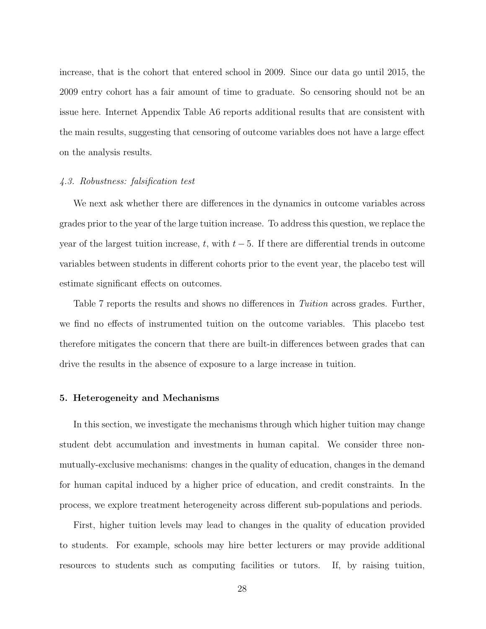increase, that is the cohort that entered school in 2009. Since our data go until 2015, the 2009 entry cohort has a fair amount of time to graduate. So censoring should not be an issue here. Internet Appendix Table A6 reports additional results that are consistent with the main results, suggesting that censoring of outcome variables does not have a large effect on the analysis results.

#### 4.3. Robustness: falsification test

We next ask whether there are differences in the dynamics in outcome variables across grades prior to the year of the large tuition increase. To address this question, we replace the year of the largest tuition increase, t, with  $t-5$ . If there are differential trends in outcome variables between students in different cohorts prior to the event year, the placebo test will estimate significant effects on outcomes.

Table 7 reports the results and shows no differences in *Tuition* across grades. Further, we find no effects of instrumented tuition on the outcome variables. This placebo test therefore mitigates the concern that there are built-in differences between grades that can drive the results in the absence of exposure to a large increase in tuition.

# 5. Heterogeneity and Mechanisms

In this section, we investigate the mechanisms through which higher tuition may change student debt accumulation and investments in human capital. We consider three nonmutually-exclusive mechanisms: changes in the quality of education, changes in the demand for human capital induced by a higher price of education, and credit constraints. In the process, we explore treatment heterogeneity across different sub-populations and periods.

First, higher tuition levels may lead to changes in the quality of education provided to students. For example, schools may hire better lecturers or may provide additional resources to students such as computing facilities or tutors. If, by raising tuition,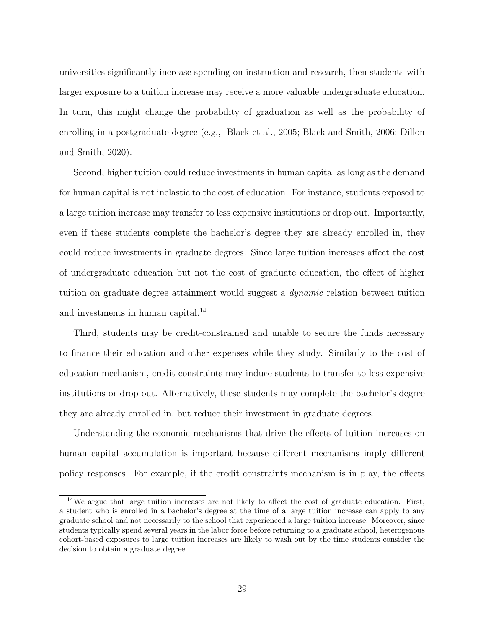universities significantly increase spending on instruction and research, then students with larger exposure to a tuition increase may receive a more valuable undergraduate education. In turn, this might change the probability of graduation as well as the probability of enrolling in a postgraduate degree (e.g., Black et al., 2005; Black and Smith, 2006; Dillon and Smith, 2020).

Second, higher tuition could reduce investments in human capital as long as the demand for human capital is not inelastic to the cost of education. For instance, students exposed to a large tuition increase may transfer to less expensive institutions or drop out. Importantly, even if these students complete the bachelor's degree they are already enrolled in, they could reduce investments in graduate degrees. Since large tuition increases affect the cost of undergraduate education but not the cost of graduate education, the effect of higher tuition on graduate degree attainment would suggest a dynamic relation between tuition and investments in human capital.<sup>14</sup>

Third, students may be credit-constrained and unable to secure the funds necessary to finance their education and other expenses while they study. Similarly to the cost of education mechanism, credit constraints may induce students to transfer to less expensive institutions or drop out. Alternatively, these students may complete the bachelor's degree they are already enrolled in, but reduce their investment in graduate degrees.

Understanding the economic mechanisms that drive the effects of tuition increases on human capital accumulation is important because different mechanisms imply different policy responses. For example, if the credit constraints mechanism is in play, the effects

<sup>&</sup>lt;sup>14</sup>We argue that large tuition increases are not likely to affect the cost of graduate education. First, a student who is enrolled in a bachelor's degree at the time of a large tuition increase can apply to any graduate school and not necessarily to the school that experienced a large tuition increase. Moreover, since students typically spend several years in the labor force before returning to a graduate school, heterogenous cohort-based exposures to large tuition increases are likely to wash out by the time students consider the decision to obtain a graduate degree.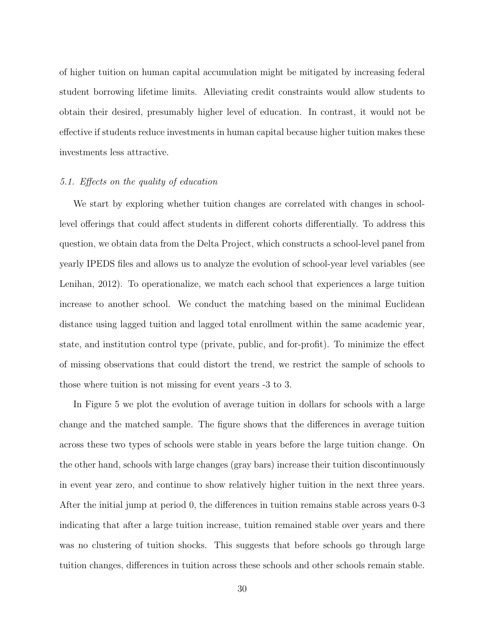of higher tuition on human capital accumulation might be mitigated by increasing federal student borrowing lifetime limits. Alleviating credit constraints would allow students to obtain their desired, presumably higher level of education. In contrast, it would not be effective if students reduce investments in human capital because higher tuition makes these investments less attractive.

# 5.1. Effects on the quality of education

We start by exploring whether tuition changes are correlated with changes in schoollevel offerings that could affect students in different cohorts differentially. To address this question, we obtain data from the Delta Project, which constructs a school-level panel from yearly IPEDS files and allows us to analyze the evolution of school-year level variables (see Lenihan, 2012). To operationalize, we match each school that experiences a large tuition increase to another school. We conduct the matching based on the minimal Euclidean distance using lagged tuition and lagged total enrollment within the same academic year, state, and institution control type (private, public, and for-profit). To minimize the effect of missing observations that could distort the trend, we restrict the sample of schools to those where tuition is not missing for event years -3 to 3.

In Figure 5 we plot the evolution of average tuition in dollars for schools with a large change and the matched sample. The figure shows that the differences in average tuition across these two types of schools were stable in years before the large tuition change. On the other hand, schools with large changes (gray bars) increase their tuition discontinuously in event year zero, and continue to show relatively higher tuition in the next three years. After the initial jump at period 0, the differences in tuition remains stable across years 0-3 indicating that after a large tuition increase, tuition remained stable over years and there was no clustering of tuition shocks. This suggests that before schools go through large tuition changes, differences in tuition across these schools and other schools remain stable.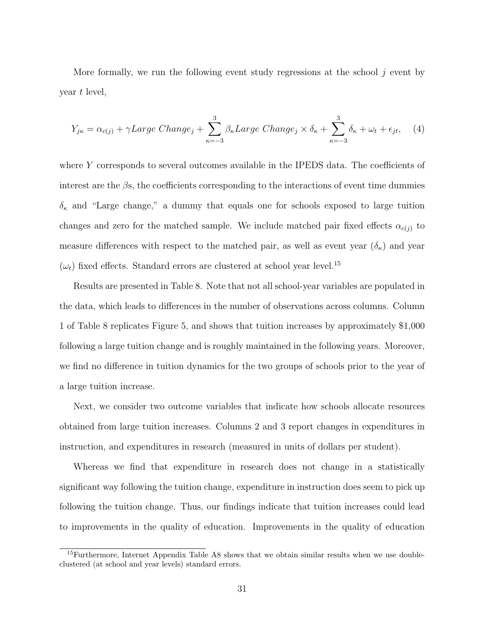More formally, we run the following event study regressions at the school  $j$  event by year t level,

$$
Y_{j\kappa} = \alpha_{c(j)} + \gamma Large\ Change\ Change_{j} + \sum_{\kappa=-3}^{3} \beta_{\kappa} Large\ Change\ Change_{j} \times \delta_{\kappa} + \sum_{\kappa=-3}^{3} \delta_{\kappa} + \omega_{t} + \epsilon_{jt}, \quad (4)
$$

where Y corresponds to several outcomes available in the IPEDS data. The coefficients of interest are the  $\beta$ s, the coefficients corresponding to the interactions of event time dummies  $\delta_{\kappa}$  and "Large change," a dummy that equals one for schools exposed to large tuition changes and zero for the matched sample. We include matched pair fixed effects  $\alpha_{c(j)}$  to measure differences with respect to the matched pair, as well as event year  $(\delta_{\kappa})$  and year  $(\omega_t)$  fixed effects. Standard errors are clustered at school year level.<sup>15</sup>

Results are presented in Table 8. Note that not all school-year variables are populated in the data, which leads to differences in the number of observations across columns. Column 1 of Table 8 replicates Figure 5, and shows that tuition increases by approximately \$1,000 following a large tuition change and is roughly maintained in the following years. Moreover, we find no difference in tuition dynamics for the two groups of schools prior to the year of a large tuition increase.

Next, we consider two outcome variables that indicate how schools allocate resources obtained from large tuition increases. Columns 2 and 3 report changes in expenditures in instruction, and expenditures in research (measured in units of dollars per student).

Whereas we find that expenditure in research does not change in a statistically significant way following the tuition change, expenditure in instruction does seem to pick up following the tuition change. Thus, our findings indicate that tuition increases could lead to improvements in the quality of education. Improvements in the quality of education

<sup>&</sup>lt;sup>15</sup>Furthermore, Internet Appendix Table A8 shows that we obtain similar results when we use doubleclustered (at school and year levels) standard errors.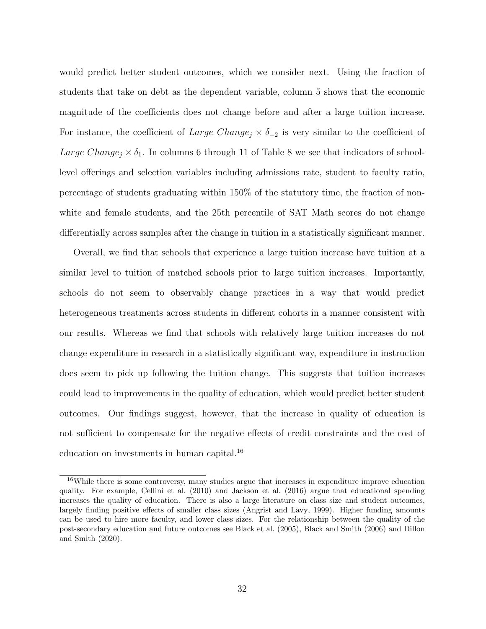would predict better student outcomes, which we consider next. Using the fraction of students that take on debt as the dependent variable, column 5 shows that the economic magnitude of the coefficients does not change before and after a large tuition increase. For instance, the coefficient of Large Change<sub>j</sub>  $\times \delta_{-2}$  is very similar to the coefficient of Large Change<sub>j</sub>  $\times \delta_1$ . In columns 6 through 11 of Table 8 we see that indicators of schoollevel offerings and selection variables including admissions rate, student to faculty ratio, percentage of students graduating within 150% of the statutory time, the fraction of nonwhite and female students, and the 25th percentile of SAT Math scores do not change differentially across samples after the change in tuition in a statistically significant manner.

Overall, we find that schools that experience a large tuition increase have tuition at a similar level to tuition of matched schools prior to large tuition increases. Importantly, schools do not seem to observably change practices in a way that would predict heterogeneous treatments across students in different cohorts in a manner consistent with our results. Whereas we find that schools with relatively large tuition increases do not change expenditure in research in a statistically significant way, expenditure in instruction does seem to pick up following the tuition change. This suggests that tuition increases could lead to improvements in the quality of education, which would predict better student outcomes. Our findings suggest, however, that the increase in quality of education is not sufficient to compensate for the negative effects of credit constraints and the cost of education on investments in human capital.<sup>16</sup>

<sup>16</sup>While there is some controversy, many studies argue that increases in expenditure improve education quality. For example, Cellini et al. (2010) and Jackson et al. (2016) argue that educational spending increases the quality of education. There is also a large literature on class size and student outcomes, largely finding positive effects of smaller class sizes (Angrist and Lavy, 1999). Higher funding amounts can be used to hire more faculty, and lower class sizes. For the relationship between the quality of the post-secondary education and future outcomes see Black et al. (2005), Black and Smith (2006) and Dillon and Smith (2020).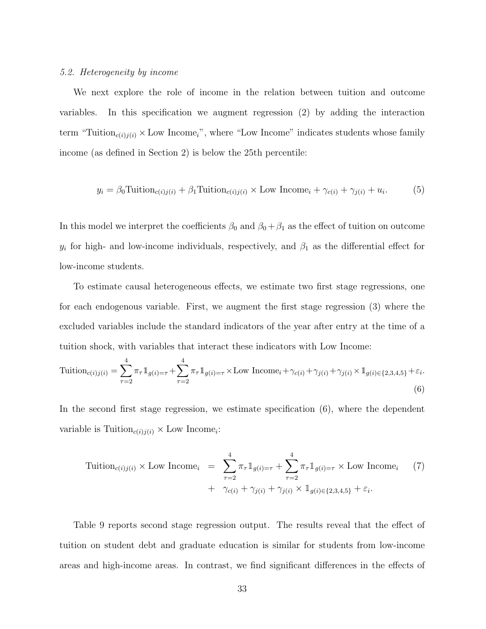#### 5.2. Heterogeneity by income

We next explore the role of income in the relation between tuition and outcome variables. In this specification we augment regression (2) by adding the interaction term "Tuition<sub>c(i)j(i)</sub>  $\times$  Low Income<sub>i</sub>", where "Low Income" indicates students whose family income (as defined in Section 2) is below the 25th percentile:

$$
y_i = \beta_0 \text{Tution}_{c(i)j(i)} + \beta_1 \text{Tution}_{c(i)j(i)} \times \text{Low Income}_i + \gamma_{c(i)} + \gamma_{j(i)} + u_i. \tag{5}
$$

In this model we interpret the coefficients  $\beta_0$  and  $\beta_0 + \beta_1$  as the effect of tuition on outcome  $y_i$  for high- and low-income individuals, respectively, and  $\beta_1$  as the differential effect for low-income students.

To estimate causal heterogeneous effects, we estimate two first stage regressions, one for each endogenous variable. First, we augment the first stage regression (3) where the excluded variables include the standard indicators of the year after entry at the time of a tuition shock, with variables that interact these indicators with Low Income:

$$
\text{Tution}_{c(i)j(i)} = \sum_{\tau=2}^{4} \pi_{\tau} \mathbb{1}_{g(i)=\tau} + \sum_{\tau=2}^{4} \pi_{\tau} \mathbb{1}_{g(i)=\tau} \times \text{Low Income}_{i} + \gamma_{c(i)} + \gamma_{j(i)} + \gamma_{j(i)} \times \mathbb{1}_{g(i) \in \{2,3,4,5\}} + \varepsilon_{i}.
$$
\n
$$
(6)
$$

In the second first stage regression, we estimate specification (6), where the dependent variable is  $Tution_{c(i)j(i)} \times Low Income_i$ :

$$
\text{Tution}_{c(i)j(i)} \times \text{Low Income}_{i} = \sum_{\tau=2}^{4} \pi_{\tau} \mathbb{1}_{g(i)=\tau} + \sum_{\tau=2}^{4} \pi_{\tau} \mathbb{1}_{g(i)=\tau} \times \text{Low Income}_{i} \tag{7}
$$
\n
$$
+ \gamma_{c(i)} + \gamma_{j(i)} + \gamma_{j(i)} \times \mathbb{1}_{g(i) \in \{2,3,4,5\}} + \varepsilon_{i}.
$$

Table 9 reports second stage regression output. The results reveal that the effect of tuition on student debt and graduate education is similar for students from low-income areas and high-income areas. In contrast, we find significant differences in the effects of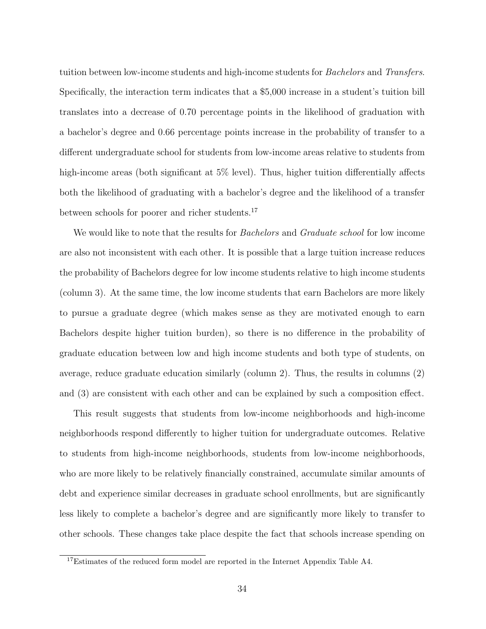tuition between low-income students and high-income students for *Bachelors* and *Transfers*. Specifically, the interaction term indicates that a \$5,000 increase in a student's tuition bill translates into a decrease of 0.70 percentage points in the likelihood of graduation with a bachelor's degree and 0.66 percentage points increase in the probability of transfer to a different undergraduate school for students from low-income areas relative to students from high-income areas (both significant at 5% level). Thus, higher tuition differentially affects both the likelihood of graduating with a bachelor's degree and the likelihood of a transfer between schools for poorer and richer students.<sup>17</sup>

We would like to note that the results for *Bachelors* and *Graduate school* for low income are also not inconsistent with each other. It is possible that a large tuition increase reduces the probability of Bachelors degree for low income students relative to high income students (column 3). At the same time, the low income students that earn Bachelors are more likely to pursue a graduate degree (which makes sense as they are motivated enough to earn Bachelors despite higher tuition burden), so there is no difference in the probability of graduate education between low and high income students and both type of students, on average, reduce graduate education similarly (column 2). Thus, the results in columns (2) and (3) are consistent with each other and can be explained by such a composition effect.

This result suggests that students from low-income neighborhoods and high-income neighborhoods respond differently to higher tuition for undergraduate outcomes. Relative to students from high-income neighborhoods, students from low-income neighborhoods, who are more likely to be relatively financially constrained, accumulate similar amounts of debt and experience similar decreases in graduate school enrollments, but are significantly less likely to complete a bachelor's degree and are significantly more likely to transfer to other schools. These changes take place despite the fact that schools increase spending on

<sup>&</sup>lt;sup>17</sup>Estimates of the reduced form model are reported in the Internet Appendix Table A4.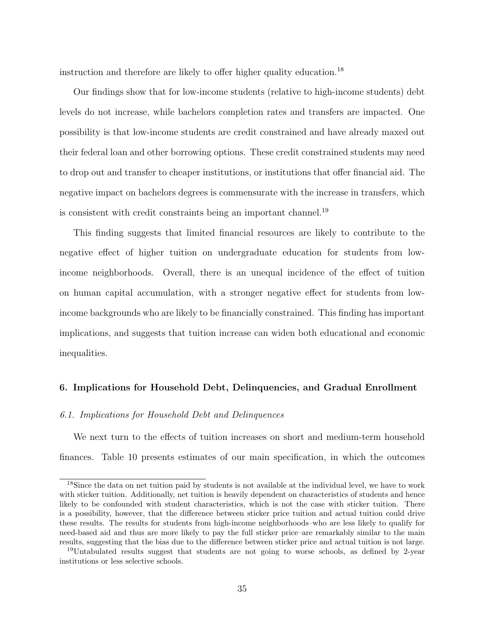instruction and therefore are likely to offer higher quality education.<sup>18</sup>

Our findings show that for low-income students (relative to high-income students) debt levels do not increase, while bachelors completion rates and transfers are impacted. One possibility is that low-income students are credit constrained and have already maxed out their federal loan and other borrowing options. These credit constrained students may need to drop out and transfer to cheaper institutions, or institutions that offer financial aid. The negative impact on bachelors degrees is commensurate with the increase in transfers, which is consistent with credit constraints being an important channel.<sup>19</sup>

This finding suggests that limited financial resources are likely to contribute to the negative effect of higher tuition on undergraduate education for students from lowincome neighborhoods. Overall, there is an unequal incidence of the effect of tuition on human capital accumulation, with a stronger negative effect for students from lowincome backgrounds who are likely to be financially constrained. This finding has important implications, and suggests that tuition increase can widen both educational and economic inequalities.

#### 6. Implications for Household Debt, Delinquencies, and Gradual Enrollment

### 6.1. Implications for Household Debt and Delinquences

We next turn to the effects of tuition increases on short and medium-term household finances. Table 10 presents estimates of our main specification, in which the outcomes

<sup>&</sup>lt;sup>18</sup>Since the data on net tuition paid by students is not available at the individual level, we have to work with sticker tuition. Additionally, net tuition is heavily dependent on characteristics of students and hence likely to be confounded with student characteristics, which is not the case with sticker tuition. There is a possibility, however, that the difference between sticker price tuition and actual tuition could drive these results. The results for students from high-income neighborhoods–who are less likely to qualify for need-based aid and thus are more likely to pay the full sticker price–are remarkably similar to the main results, suggesting that the bias due to the difference between sticker price and actual tuition is not large.

<sup>&</sup>lt;sup>19</sup>Untabulated results suggest that students are not going to worse schools, as defined by 2-year institutions or less selective schools.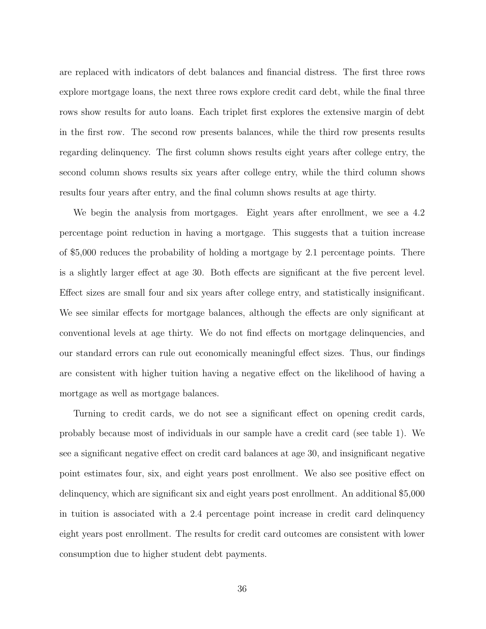are replaced with indicators of debt balances and financial distress. The first three rows explore mortgage loans, the next three rows explore credit card debt, while the final three rows show results for auto loans. Each triplet first explores the extensive margin of debt in the first row. The second row presents balances, while the third row presents results regarding delinquency. The first column shows results eight years after college entry, the second column shows results six years after college entry, while the third column shows results four years after entry, and the final column shows results at age thirty.

We begin the analysis from mortgages. Eight years after enrollment, we see a 4.2 percentage point reduction in having a mortgage. This suggests that a tuition increase of \$5,000 reduces the probability of holding a mortgage by 2.1 percentage points. There is a slightly larger effect at age 30. Both effects are significant at the five percent level. Effect sizes are small four and six years after college entry, and statistically insignificant. We see similar effects for mortgage balances, although the effects are only significant at conventional levels at age thirty. We do not find effects on mortgage delinquencies, and our standard errors can rule out economically meaningful effect sizes. Thus, our findings are consistent with higher tuition having a negative effect on the likelihood of having a mortgage as well as mortgage balances.

Turning to credit cards, we do not see a significant effect on opening credit cards, probably because most of individuals in our sample have a credit card (see table 1). We see a significant negative effect on credit card balances at age 30, and insignificant negative point estimates four, six, and eight years post enrollment. We also see positive effect on delinquency, which are significant six and eight years post enrollment. An additional \$5,000 in tuition is associated with a 2.4 percentage point increase in credit card delinquency eight years post enrollment. The results for credit card outcomes are consistent with lower consumption due to higher student debt payments.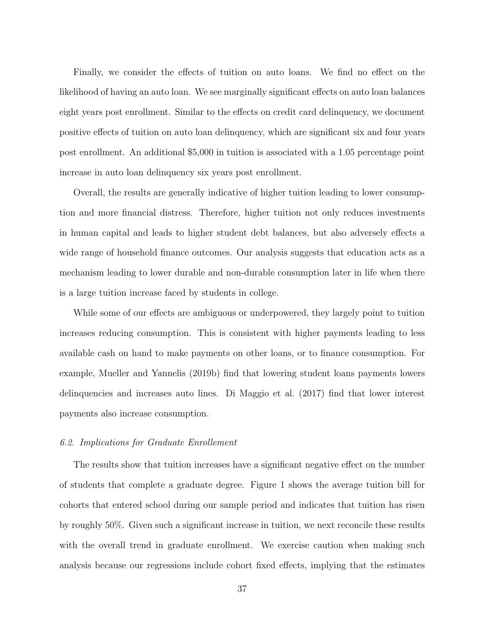Finally, we consider the effects of tuition on auto loans. We find no effect on the likelihood of having an auto loan. We see marginally significant effects on auto loan balances eight years post enrollment. Similar to the effects on credit card delinquency, we document positive effects of tuition on auto loan delinquency, which are significant six and four years post enrollment. An additional \$5,000 in tuition is associated with a 1.05 percentage point increase in auto loan delinquency six years post enrollment.

Overall, the results are generally indicative of higher tuition leading to lower consumption and more financial distress. Therefore, higher tuition not only reduces investments in human capital and leads to higher student debt balances, but also adversely effects a wide range of household finance outcomes. Our analysis suggests that education acts as a mechanism leading to lower durable and non-durable consumption later in life when there is a large tuition increase faced by students in college.

While some of our effects are ambiguous or underpowered, they largely point to tuition increases reducing consumption. This is consistent with higher payments leading to less available cash on hand to make payments on other loans, or to finance consumption. For example, Mueller and Yannelis (2019b) find that lowering student loans payments lowers delinquencies and increases auto lines. Di Maggio et al. (2017) find that lower interest payments also increase consumption.

### 6.2. Implications for Graduate Enrollement

The results show that tuition increases have a significant negative effect on the number of students that complete a graduate degree. Figure 1 shows the average tuition bill for cohorts that entered school during our sample period and indicates that tuition has risen by roughly 50%. Given such a significant increase in tuition, we next reconcile these results with the overall trend in graduate enrollment. We exercise caution when making such analysis because our regressions include cohort fixed effects, implying that the estimates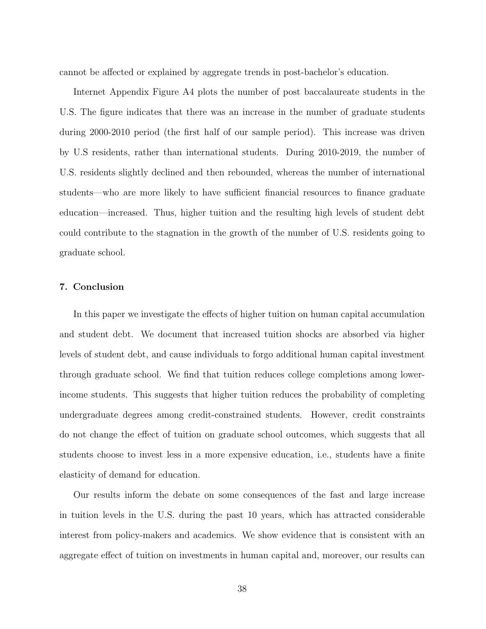cannot be affected or explained by aggregate trends in post-bachelor's education.

Internet Appendix Figure A4 plots the number of post baccalaureate students in the U.S. The figure indicates that there was an increase in the number of graduate students during 2000-2010 period (the first half of our sample period). This increase was driven by U.S residents, rather than international students. During 2010-2019, the number of U.S. residents slightly declined and then rebounded, whereas the number of international students—who are more likely to have sufficient financial resources to finance graduate education—increased. Thus, higher tuition and the resulting high levels of student debt could contribute to the stagnation in the growth of the number of U.S. residents going to graduate school.

#### 7. Conclusion

In this paper we investigate the effects of higher tuition on human capital accumulation and student debt. We document that increased tuition shocks are absorbed via higher levels of student debt, and cause individuals to forgo additional human capital investment through graduate school. We find that tuition reduces college completions among lowerincome students. This suggests that higher tuition reduces the probability of completing undergraduate degrees among credit-constrained students. However, credit constraints do not change the effect of tuition on graduate school outcomes, which suggests that all students choose to invest less in a more expensive education, i.e., students have a finite elasticity of demand for education.

Our results inform the debate on some consequences of the fast and large increase in tuition levels in the U.S. during the past 10 years, which has attracted considerable interest from policy-makers and academics. We show evidence that is consistent with an aggregate effect of tuition on investments in human capital and, moreover, our results can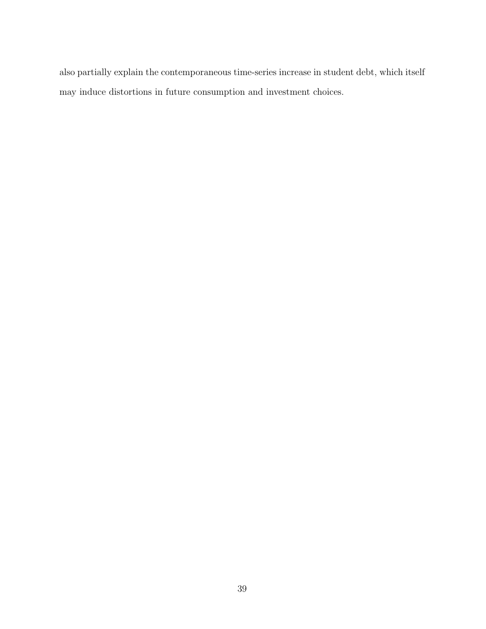also partially explain the contemporaneous time-series increase in student debt, which itself may induce distortions in future consumption and investment choices.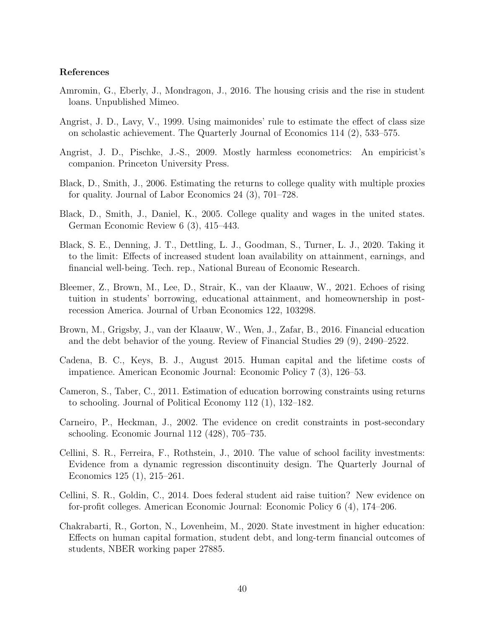### References

- Amromin, G., Eberly, J., Mondragon, J., 2016. The housing crisis and the rise in student loans. Unpublished Mimeo.
- Angrist, J. D., Lavy, V., 1999. Using maimonides' rule to estimate the effect of class size on scholastic achievement. The Quarterly Journal of Economics 114 (2), 533–575.
- Angrist, J. D., Pischke, J.-S., 2009. Mostly harmless econometrics: An empiricist's companion. Princeton University Press.
- Black, D., Smith, J., 2006. Estimating the returns to college quality with multiple proxies for quality. Journal of Labor Economics 24 (3), 701–728.
- Black, D., Smith, J., Daniel, K., 2005. College quality and wages in the united states. German Economic Review 6 (3), 415–443.
- Black, S. E., Denning, J. T., Dettling, L. J., Goodman, S., Turner, L. J., 2020. Taking it to the limit: Effects of increased student loan availability on attainment, earnings, and financial well-being. Tech. rep., National Bureau of Economic Research.
- Bleemer, Z., Brown, M., Lee, D., Strair, K., van der Klaauw, W., 2021. Echoes of rising tuition in students' borrowing, educational attainment, and homeownership in postrecession America. Journal of Urban Economics 122, 103298.
- Brown, M., Grigsby, J., van der Klaauw, W., Wen, J., Zafar, B., 2016. Financial education and the debt behavior of the young. Review of Financial Studies 29 (9), 2490–2522.
- Cadena, B. C., Keys, B. J., August 2015. Human capital and the lifetime costs of impatience. American Economic Journal: Economic Policy 7 (3), 126–53.
- Cameron, S., Taber, C., 2011. Estimation of education borrowing constraints using returns to schooling. Journal of Political Economy 112 (1), 132–182.
- Carneiro, P., Heckman, J., 2002. The evidence on credit constraints in post-secondary schooling. Economic Journal 112 (428), 705–735.
- Cellini, S. R., Ferreira, F., Rothstein, J., 2010. The value of school facility investments: Evidence from a dynamic regression discontinuity design. The Quarterly Journal of Economics 125 (1), 215–261.
- Cellini, S. R., Goldin, C., 2014. Does federal student aid raise tuition? New evidence on for-profit colleges. American Economic Journal: Economic Policy 6 (4), 174–206.
- Chakrabarti, R., Gorton, N., Lovenheim, M., 2020. State investment in higher education: Effects on human capital formation, student debt, and long-term financial outcomes of students, NBER working paper 27885.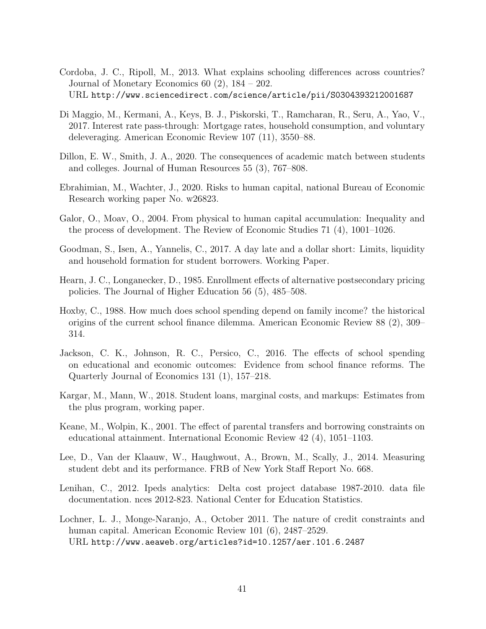- Cordoba, J. C., Ripoll, M., 2013. What explains schooling differences across countries? Journal of Monetary Economics 60 (2), 184 – 202. URL http://www.sciencedirect.com/science/article/pii/S0304393212001687
- Di Maggio, M., Kermani, A., Keys, B. J., Piskorski, T., Ramcharan, R., Seru, A., Yao, V., 2017. Interest rate pass-through: Mortgage rates, household consumption, and voluntary deleveraging. American Economic Review 107 (11), 3550–88.
- Dillon, E. W., Smith, J. A., 2020. The consequences of academic match between students and colleges. Journal of Human Resources 55 (3), 767–808.
- Ebrahimian, M., Wachter, J., 2020. Risks to human capital, national Bureau of Economic Research working paper No. w26823.
- Galor, O., Moav, O., 2004. From physical to human capital accumulation: Inequality and the process of development. The Review of Economic Studies 71 (4), 1001–1026.
- Goodman, S., Isen, A., Yannelis, C., 2017. A day late and a dollar short: Limits, liquidity and household formation for student borrowers. Working Paper.
- Hearn, J. C., Longanecker, D., 1985. Enrollment effects of alternative postsecondary pricing policies. The Journal of Higher Education 56 (5), 485–508.
- Hoxby, C., 1988. How much does school spending depend on family income? the historical origins of the current school finance dilemma. American Economic Review 88 (2), 309– 314.
- Jackson, C. K., Johnson, R. C., Persico, C., 2016. The effects of school spending on educational and economic outcomes: Evidence from school finance reforms. The Quarterly Journal of Economics 131 (1), 157–218.
- Kargar, M., Mann, W., 2018. Student loans, marginal costs, and markups: Estimates from the plus program, working paper.
- Keane, M., Wolpin, K., 2001. The effect of parental transfers and borrowing constraints on educational attainment. International Economic Review 42 (4), 1051–1103.
- Lee, D., Van der Klaauw, W., Haughwout, A., Brown, M., Scally, J., 2014. Measuring student debt and its performance. FRB of New York Staff Report No. 668.
- Lenihan, C., 2012. Ipeds analytics: Delta cost project database 1987-2010. data file documentation. nces 2012-823. National Center for Education Statistics.
- Lochner, L. J., Monge-Naranjo, A., October 2011. The nature of credit constraints and human capital. American Economic Review 101 (6), 2487–2529. URL http://www.aeaweb.org/articles?id=10.1257/aer.101.6.2487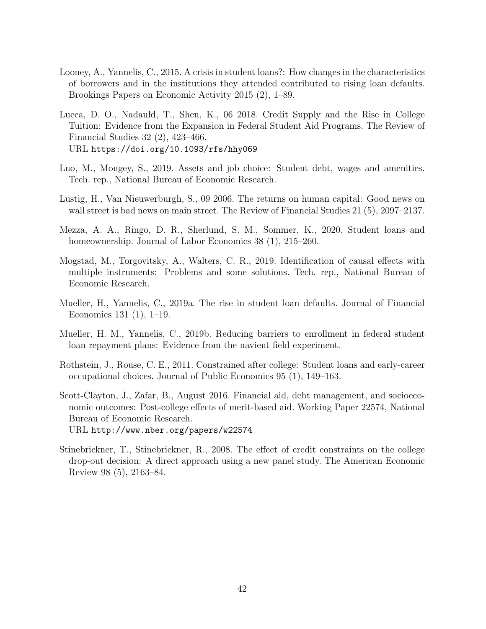- Looney, A., Yannelis, C., 2015. A crisis in student loans?: How changes in the characteristics of borrowers and in the institutions they attended contributed to rising loan defaults. Brookings Papers on Economic Activity 2015 (2), 1–89.
- Lucca, D. O., Nadauld, T., Shen, K., 06 2018. Credit Supply and the Rise in College Tuition: Evidence from the Expansion in Federal Student Aid Programs. The Review of Financial Studies 32 (2), 423–466. URL https://doi.org/10.1093/rfs/hhy069
- Luo, M., Mongey, S., 2019. Assets and job choice: Student debt, wages and amenities. Tech. rep., National Bureau of Economic Research.
- Lustig, H., Van Nieuwerburgh, S., 09 2006. The returns on human capital: Good news on wall street is bad news on main street. The Review of Financial Studies 21 (5), 2097–2137.
- Mezza, A. A., Ringo, D. R., Sherlund, S. M., Sommer, K., 2020. Student loans and homeownership. Journal of Labor Economics 38 (1), 215–260.
- Mogstad, M., Torgovitsky, A., Walters, C. R., 2019. Identification of causal effects with multiple instruments: Problems and some solutions. Tech. rep., National Bureau of Economic Research.
- Mueller, H., Yannelis, C., 2019a. The rise in student loan defaults. Journal of Financial Economics 131 (1), 1–19.
- Mueller, H. M., Yannelis, C., 2019b. Reducing barriers to enrollment in federal student loan repayment plans: Evidence from the navient field experiment.
- Rothstein, J., Rouse, C. E., 2011. Constrained after college: Student loans and early-career occupational choices. Journal of Public Economics 95 (1), 149–163.
- Scott-Clayton, J., Zafar, B., August 2016. Financial aid, debt management, and socioeconomic outcomes: Post-college effects of merit-based aid. Working Paper 22574, National Bureau of Economic Research. URL http://www.nber.org/papers/w22574
- Stinebrickner, T., Stinebrickner, R., 2008. The effect of credit constraints on the college drop-out decision: A direct approach using a new panel study. The American Economic Review 98 (5), 2163–84.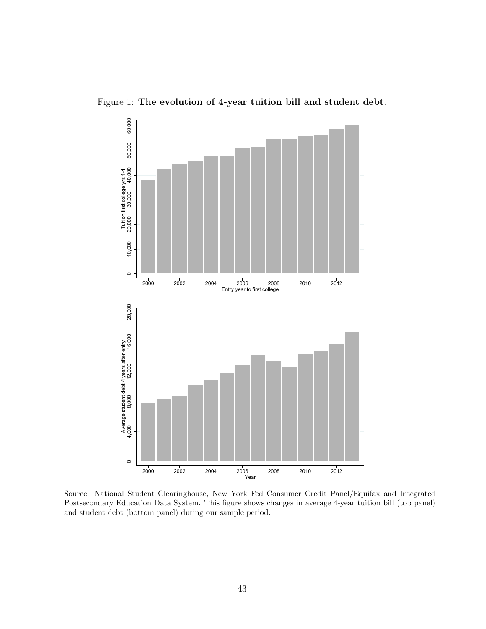



Source: National Student Clearinghouse, New York Fed Consumer Credit Panel/Equifax and Integrated Postsecondary Education Data System. This figure shows changes in average 4-year tuition bill (top panel) and student debt (bottom panel) during our sample period.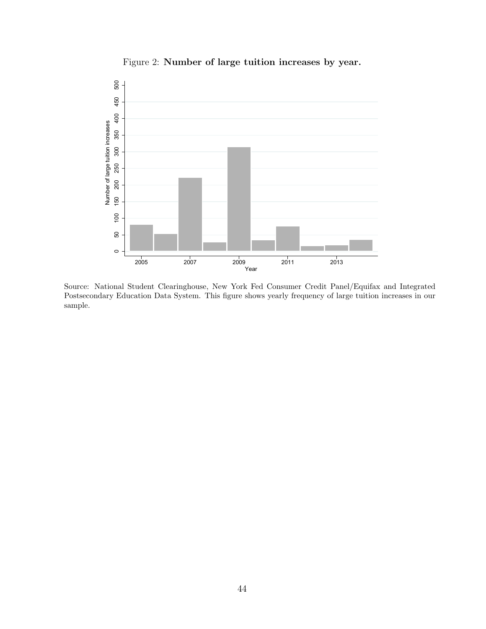

Figure 2: Number of large tuition increases by year.

Source: National Student Clearinghouse, New York Fed Consumer Credit Panel/Equifax and Integrated Postsecondary Education Data System. This figure shows yearly frequency of large tuition increases in our sample.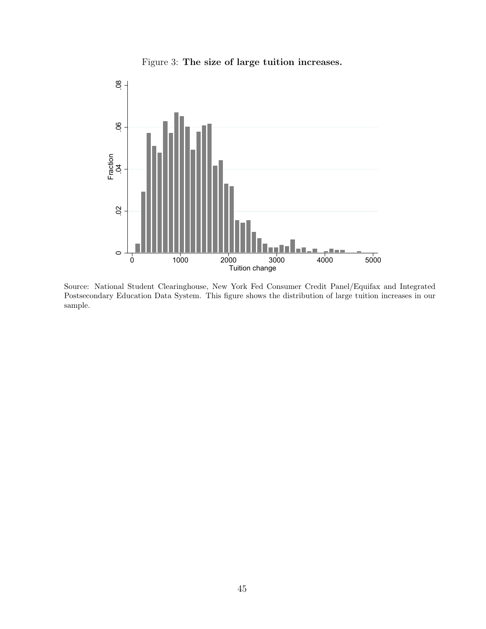

Figure 3: The size of large tuition increases.

Source: National Student Clearinghouse, New York Fed Consumer Credit Panel/Equifax and Integrated Postsecondary Education Data System. This figure shows the distribution of large tuition increases in our sample.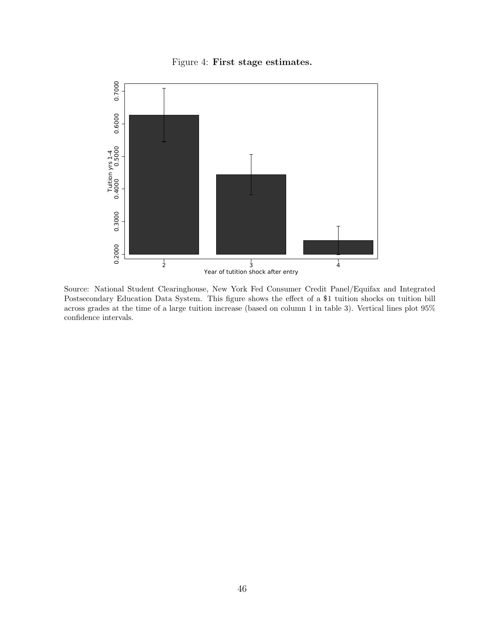Figure 4: First stage estimates.



Source: National Student Clearinghouse, New York Fed Consumer Credit Panel/Equifax and Integrated Postsecondary Education Data System. This figure shows the effect of a \$1 tuition shocks on tuition bill across grades at the time of a large tuition increase (based on column 1 in table 3). Vertical lines plot 95% confidence intervals.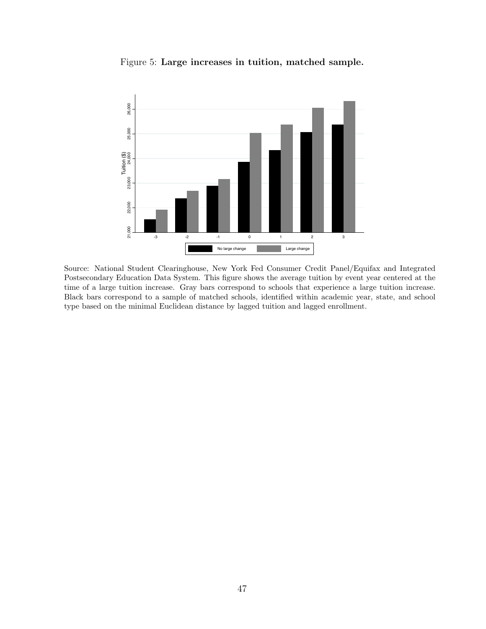

Figure 5: Large increases in tuition, matched sample.

Source: National Student Clearinghouse, New York Fed Consumer Credit Panel/Equifax and Integrated Postsecondary Education Data System. This figure shows the average tuition by event year centered at the time of a large tuition increase. Gray bars correspond to schools that experience a large tuition increase. Black bars correspond to a sample of matched schools, identified within academic year, state, and school type based on the minimal Euclidean distance by lagged tuition and lagged enrollment.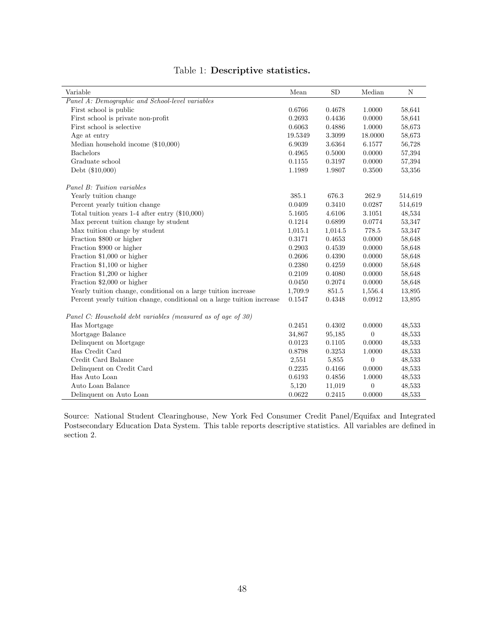| Variable                                                               | Mean    | <b>SD</b> | Median         | N       |
|------------------------------------------------------------------------|---------|-----------|----------------|---------|
| Panel A: Demographic and School-level variables                        |         |           |                |         |
| First school is public                                                 | 0.6766  | 0.4678    | 1.0000         | 58,641  |
| First school is private non-profit                                     | 0.2693  | 0.4436    | 0.0000         | 58,641  |
| First school is selective                                              | 0.6063  | 0.4886    | 1.0000         | 58,673  |
| Age at entry                                                           | 19.5349 | 3.3099    | 18.0000        | 58,673  |
| Median household income $(\$10,000)$                                   | 6.9039  | 3.6364    | 6.1577         | 56,728  |
| <b>Bachelors</b>                                                       | 0.4965  | 0.5000    | 0.0000         | 57,394  |
| Graduate school                                                        | 0.1155  | 0.3197    | 0.0000         | 57,394  |
| Debt (\$10,000)                                                        | 1.1989  | 1.9807    | 0.3500         | 53,356  |
| Panel B: Tuition variables                                             |         |           |                |         |
| Yearly tuition change                                                  | 385.1   | 676.3     | 262.9          | 514,619 |
| Percent yearly tuition change                                          | 0.0409  | 0.3410    | 0.0287         | 514,619 |
| Total tuition years $1-4$ after entry $(\$10,000)$                     | 5.1605  | 4.6106    | 3.1051         | 48,534  |
| Max percent tuition change by student                                  | 0.1214  | 0.6899    | 0.0774         | 53,347  |
| Max tuition change by student                                          | 1,015.1 | 1,014.5   | 778.5          | 53,347  |
| Fraction \$800 or higher                                               | 0.3171  | 0.4653    | 0.0000         | 58,648  |
| Fraction \$900 or higher                                               | 0.2903  | 0.4539    | 0.0000         | 58,648  |
| Fraction \$1,000 or higher                                             | 0.2606  | 0.4390    | 0.0000         | 58,648  |
| Fraction \$1,100 or higher                                             | 0.2380  | 0.4259    | 0.0000         | 58,648  |
| Fraction \$1,200 or higher                                             | 0.2109  | 0.4080    | 0.0000         | 58,648  |
| Fraction \$2,000 or higher                                             | 0.0450  | 0.2074    | 0.0000         | 58,648  |
| Yearly tuition change, conditional on a large tuition increase         | 1,709.9 | 851.5     | 1,556.4        | 13,895  |
| Percent yearly tuition change, conditional on a large tuition increase | 0.1547  | 0.4348    | 0.0912         | 13,895  |
| Panel C: Household debt variables (measured as of age of 30)           |         |           |                |         |
| Has Mortgage                                                           | 0.2451  | 0.4302    | 0.0000         | 48,533  |
| Mortgage Balance                                                       | 34,867  | 95,185    | $\theta$       | 48,533  |
| Delinquent on Mortgage                                                 | 0.0123  | 0.1105    | 0.0000         | 48,533  |
| Has Credit Card                                                        | 0.8798  | 0.3253    | 1.0000         | 48,533  |
| Credit Card Balance                                                    | 2,551   | 5,855     | $\overline{0}$ | 48,533  |
| Delinquent on Credit Card                                              | 0.2235  | 0.4166    | 0.0000         | 48,533  |
| Has Auto Loan                                                          | 0.6193  | 0.4856    | 1.0000         | 48,533  |
| Auto Loan Balance                                                      | 5,120   | 11,019    | $\overline{0}$ | 48,533  |
| Delinquent on Auto Loan                                                | 0.0622  | 0.2415    | 0.0000         | 48,533  |

# Table 1: Descriptive statistics.

Source: National Student Clearinghouse, New York Fed Consumer Credit Panel/Equifax and Integrated Postsecondary Education Data System. This table reports descriptive statistics. All variables are defined in section 2.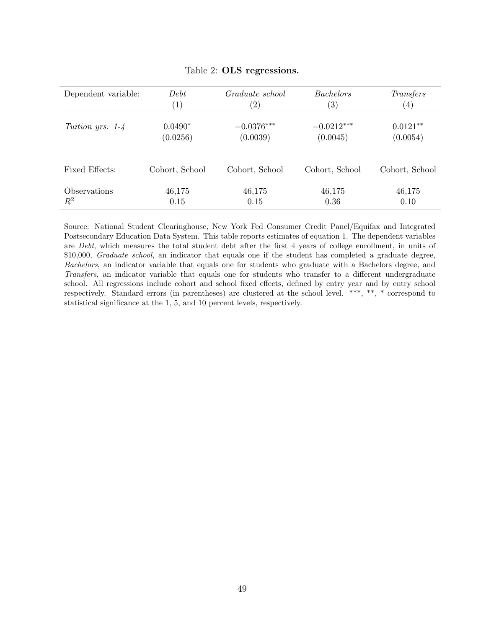| Dependent variable:        | Debt             | Graduate school   | <b>Bachelors</b>  | Transfers        |
|----------------------------|------------------|-------------------|-------------------|------------------|
|                            | $\left(1\right)$ | $\left( 2\right)$ | $\left( 3\right)$ | $\left(4\right)$ |
| Tuition yrs. $1-4$         | $0.0490*$        | $-0.0376***$      | $-0.0212***$      | $0.0121**$       |
|                            | (0.0256)         | (0.0039)          | (0.0045)          | (0.0054)         |
| Fixed Effects:             | Cohort, School   | Cohort, School    | Cohort, School    | Cohort, School   |
| <i><b>Observations</b></i> | 46,175           | 46,175            | 46,175            | 46,175           |
| $R^2$                      | 0.15             | 0.15              | 0.36              | 0.10             |

# Table 2: OLS regressions.

Source: National Student Clearinghouse, New York Fed Consumer Credit Panel/Equifax and Integrated Postsecondary Education Data System. This table reports estimates of equation 1. The dependent variables are Debt, which measures the total student debt after the first 4 years of college enrollment, in units of \$10,000, *Graduate school*, an indicator that equals one if the student has completed a graduate degree, Bachelors, an indicator variable that equals one for students who graduate with a Bachelors degree, and Transfers, an indicator variable that equals one for students who transfer to a different undergraduate school. All regressions include cohort and school fixed effects, defined by entry year and by entry school respectively. Standard errors (in parentheses) are clustered at the school level. \*\*\*, \*\*, \* correspond to statistical significance at the 1, 5, and 10 percent levels, respectively.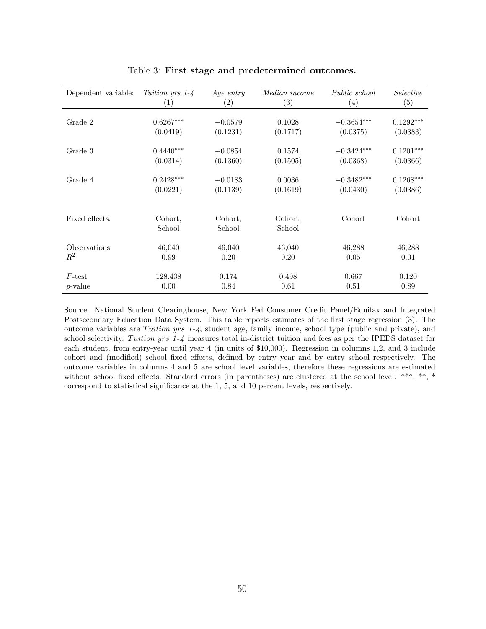| Dependent variable: | Tuition yrs 1-4   | <i>Age entry</i>  | Median income     | Public school     | Selective   |
|---------------------|-------------------|-------------------|-------------------|-------------------|-------------|
|                     | $\left( 1\right)$ | $\left( 2\right)$ | $\left( 3\right)$ | $\left( 4\right)$ | (5)         |
| Grade 2             | $0.6267***$       | $-0.0579$         | 0.1028            | $-0.3654***$      | $0.1292***$ |
|                     | (0.0419)          | (0.1231)          | (0.1717)          | (0.0375)          | (0.0383)    |
| Grade 3             | $0.4440***$       | $-0.0854$         | 0.1574            | $-0.3424***$      | $0.1201***$ |
|                     | (0.0314)          | (0.1360)          | (0.1505)          | (0.0368)          | (0.0366)    |
| Grade 4             | $0.2428***$       | $-0.0183$         | 0.0036            | $-0.3482***$      | $0.1268***$ |
|                     | (0.0221)          | (0.1139)          | (0.1619)          | (0.0430)          | (0.0386)    |
| Fixed effects:      | Cohort,<br>School | Cohort.<br>School | Cohort.<br>School | Cohort            | Cohort      |
| Observations        | 46,040            | 46,040            | 46,040            | 46,288            | 46,288      |
| $R^2$               | 0.99              | 0.20              | 0.20              | 0.05              | 0.01        |
| $F$ -test           | 128.438           | 0.174             | 0.498             | 0.667             | 0.120       |
| <i>p</i> -value     | 0.00              | 0.84              | 0.61              | 0.51              | 0.89        |

# Table 3: First stage and predetermined outcomes.

Source: National Student Clearinghouse, New York Fed Consumer Credit Panel/Equifax and Integrated Postsecondary Education Data System. This table reports estimates of the first stage regression (3). The outcome variables are Tuition yrs  $1-4$ , student age, family income, school type (public and private), and school selectivity. Tuition yrs  $1-\frac{1}{4}$  measures total in-district tuition and fees as per the IPEDS dataset for each student, from entry-year until year 4 (in units of \$10,000). Regression in columns 1,2, and 3 include cohort and (modified) school fixed effects, defined by entry year and by entry school respectively. The outcome variables in columns 4 and 5 are school level variables, therefore these regressions are estimated without school fixed effects. Standard errors (in parentheses) are clustered at the school level. \*\*\*, \*\*, \* correspond to statistical significance at the 1, 5, and 10 percent levels, respectively.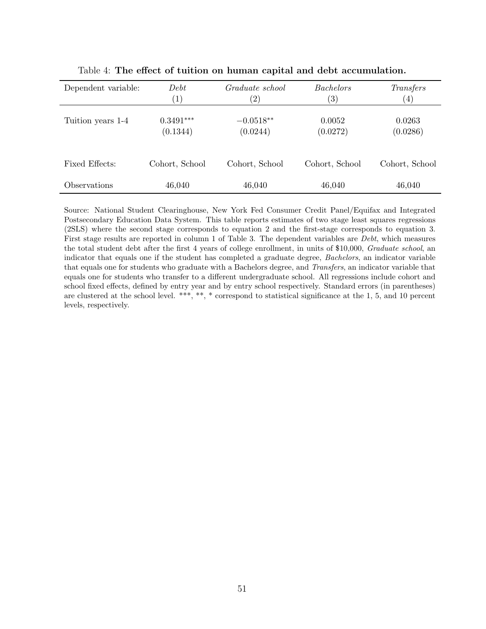| Dependent variable: | Debt              | Graduate school   | <i>Bachelors</i>  | Transfers        |
|---------------------|-------------------|-------------------|-------------------|------------------|
|                     | $\left( 1\right)$ | $\left( 2\right)$ | $\left( 3\right)$ | $\left(4\right)$ |
| Tuition years 1-4   | $0.3491***$       | $-0.0518**$       | 0.0052            | 0.0263           |
|                     | (0.1344)          | (0.0244)          | (0.0272)          | (0.0286)         |
| Fixed Effects:      | Cohort, School    | Cohort, School    | Cohort, School    | Cohort, School   |
| Observations        | 46,040            | 46,040            | 46,040            | 46,040           |

Table 4: The effect of tuition on human capital and debt accumulation.

Source: National Student Clearinghouse, New York Fed Consumer Credit Panel/Equifax and Integrated Postsecondary Education Data System. This table reports estimates of two stage least squares regressions (2SLS) where the second stage corresponds to equation 2 and the first-stage corresponds to equation 3. First stage results are reported in column 1 of Table 3. The dependent variables are Debt, which measures the total student debt after the first 4 years of college enrollment, in units of \$10,000, Graduate school, an indicator that equals one if the student has completed a graduate degree, Bachelors, an indicator variable that equals one for students who graduate with a Bachelors degree, and Transfers, an indicator variable that equals one for students who transfer to a different undergraduate school. All regressions include cohort and school fixed effects, defined by entry year and by entry school respectively. Standard errors (in parentheses) are clustered at the school level. \*\*\*, \*\*, \* correspond to statistical significance at the 1, 5, and 10 percent levels, respectively.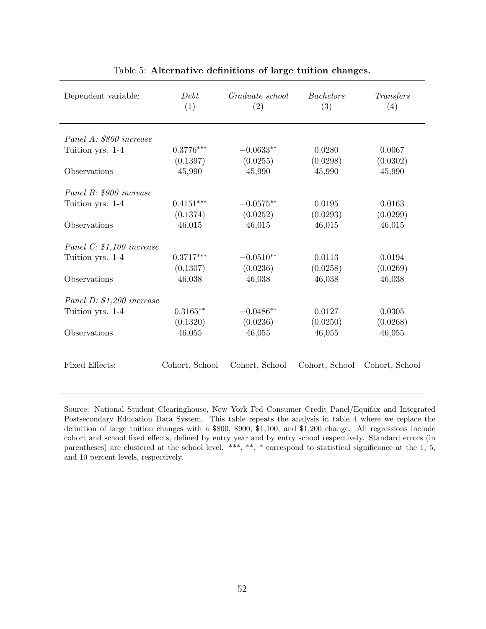| Debt<br>Graduate school<br>(1)<br>(2) |                                                                                                                                                | <i>Bachelors</i><br>(3)                                                                             | Transfers<br>(4)                                                                     |
|---------------------------------------|------------------------------------------------------------------------------------------------------------------------------------------------|-----------------------------------------------------------------------------------------------------|--------------------------------------------------------------------------------------|
|                                       |                                                                                                                                                |                                                                                                     |                                                                                      |
|                                       |                                                                                                                                                |                                                                                                     | 0.0067                                                                               |
|                                       |                                                                                                                                                |                                                                                                     | (0.0302)                                                                             |
|                                       |                                                                                                                                                |                                                                                                     | 45,990                                                                               |
|                                       |                                                                                                                                                |                                                                                                     |                                                                                      |
|                                       |                                                                                                                                                |                                                                                                     |                                                                                      |
|                                       | $-0.0575**$                                                                                                                                    | 0.0195                                                                                              | 0.0163                                                                               |
|                                       |                                                                                                                                                |                                                                                                     | (0.0299)                                                                             |
| 46,015                                | 46,015                                                                                                                                         | 46,015                                                                                              | 46,015                                                                               |
| Panel C: \$1,100 increase             |                                                                                                                                                |                                                                                                     |                                                                                      |
|                                       |                                                                                                                                                |                                                                                                     | 0.0194                                                                               |
|                                       |                                                                                                                                                |                                                                                                     | (0.0269)                                                                             |
| 46,038                                | 46,038                                                                                                                                         | 46,038                                                                                              | 46,038                                                                               |
|                                       |                                                                                                                                                |                                                                                                     |                                                                                      |
|                                       |                                                                                                                                                |                                                                                                     | 0.0305                                                                               |
|                                       |                                                                                                                                                |                                                                                                     | (0.0268)                                                                             |
| 46,055                                | 46,055                                                                                                                                         | 46,055                                                                                              | 46,055                                                                               |
| Cohort, School                        | Cohort, School                                                                                                                                 | Cohort, School                                                                                      | Cohort, School                                                                       |
|                                       | $0.3776***$<br>(0.1397)<br>45,990<br>$0.4151***$<br>(0.1374)<br>$0.3717***$<br>(0.1307)<br>Panel D: \$1,200 increase<br>$0.3165**$<br>(0.1320) | $-0.0633**$<br>(0.0255)<br>45,990<br>(0.0252)<br>$-0.0510**$<br>(0.0236)<br>$-0.0486**$<br>(0.0236) | 0.0280<br>(0.0298)<br>45,990<br>(0.0293)<br>0.0113<br>(0.0258)<br>0.0127<br>(0.0250) |

# Table 5: Alternative definitions of large tuition changes.

Source: National Student Clearinghouse, New York Fed Consumer Credit Panel/Equifax and Integrated Postsecondary Education Data System. This table repeats the analysis in table 4 where we replace the definition of large tuition changes with a \$800, \$900, \$1,100, and \$1,200 change. All regressions include cohort and school fixed effects, defined by entry year and by entry school respectively. Standard errors (in parentheses) are clustered at the school level. \*\*\*, \*\*, \* correspond to statistical significance at the 1, 5, and 10 percent levels, respectively.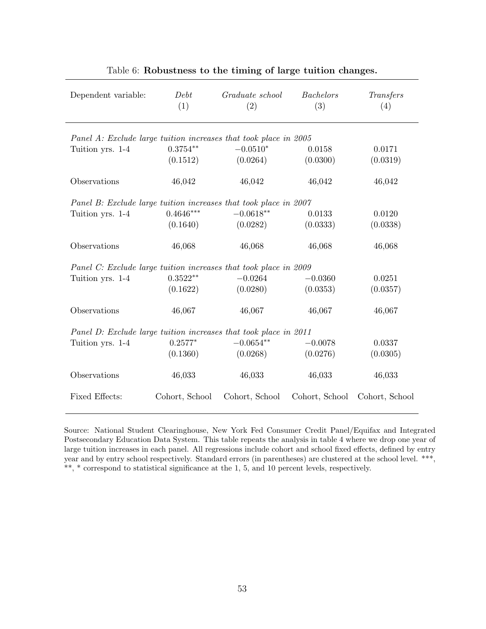| Dependent variable:                                              | Debt<br>(1)    | Graduate school<br>(2) | Bachelors<br>(3) | Transfers<br>(4) |  |  |  |  |  |  |  |
|------------------------------------------------------------------|----------------|------------------------|------------------|------------------|--|--|--|--|--|--|--|
| Panel A: Exclude large tuition increases that took place in 2005 |                |                        |                  |                  |  |  |  |  |  |  |  |
| Tuition yrs. 1-4                                                 | $0.3754**$     | $-0.0510*$             | 0.0158           | 0.0171           |  |  |  |  |  |  |  |
|                                                                  | (0.1512)       | (0.0264)               | (0.0300)         | (0.0319)         |  |  |  |  |  |  |  |
| Observations                                                     | 46,042         | 46,042                 | 46,042           | 46,042           |  |  |  |  |  |  |  |
| Panel B: Exclude large tuition increases that took place in 2007 |                |                        |                  |                  |  |  |  |  |  |  |  |
| Tuition yrs. 1-4                                                 | $0.4646***$    | $-0.0618**$            | 0.0133           | 0.0120           |  |  |  |  |  |  |  |
|                                                                  | (0.1640)       | (0.0282)               | (0.0333)         | (0.0338)         |  |  |  |  |  |  |  |
| Observations                                                     | 46,068         | 46,068                 | 46,068           | 46,068           |  |  |  |  |  |  |  |
| Panel C: Exclude large tuition increases that took place in 2009 |                |                        |                  |                  |  |  |  |  |  |  |  |
| Tuition yrs. 1-4                                                 | $0.3522**$     | $-0.0264$              | $-0.0360$        | 0.0251           |  |  |  |  |  |  |  |
|                                                                  | (0.1622)       | (0.0280)               | (0.0353)         | (0.0357)         |  |  |  |  |  |  |  |
| Observations                                                     | 46,067         | 46,067                 | 46,067           | 46,067           |  |  |  |  |  |  |  |
| Panel D: Exclude large tuition increases that took place in 2011 |                |                        |                  |                  |  |  |  |  |  |  |  |
| Tuition yrs. 1-4                                                 | $0.2577*$      | $-0.0654**$            | $-0.0078$        | 0.0337           |  |  |  |  |  |  |  |
|                                                                  | (0.1360)       | (0.0268)               | (0.0276)         | (0.0305)         |  |  |  |  |  |  |  |
| Observations                                                     | 46,033         | 46,033                 | 46,033           | 46,033           |  |  |  |  |  |  |  |
| Fixed Effects:                                                   | Cohort, School | Cohort, School         | Cohort, School   | Cohort, School   |  |  |  |  |  |  |  |

| Table 6: Robustness to the timing of large tuition changes. |  |  |  |  |
|-------------------------------------------------------------|--|--|--|--|
|                                                             |  |  |  |  |

Source: National Student Clearinghouse, New York Fed Consumer Credit Panel/Equifax and Integrated Postsecondary Education Data System. This table repeats the analysis in table 4 where we drop one year of large tuition increases in each panel. All regressions include cohort and school fixed effects, defined by entry year and by entry school respectively. Standard errors (in parentheses) are clustered at the school level. \*\*\*, \*\*, \* correspond to statistical significance at the 1, 5, and 10 percent levels, respectively.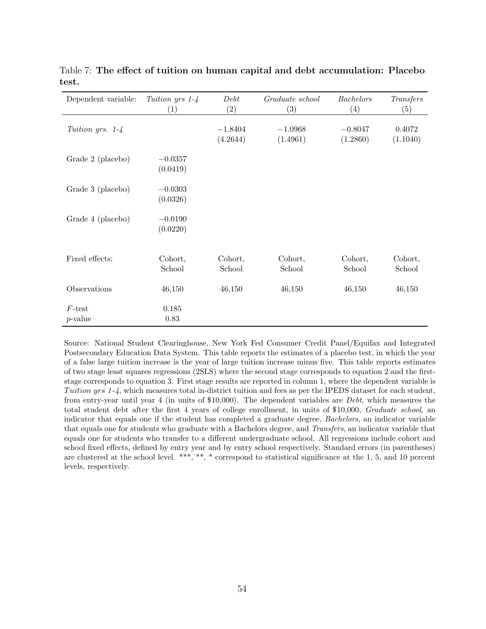| Dependent variable:     | Tuition yrs 1-4       | Debt                  | Graduate school       | <b>Bachelors</b>      | Transfers          |
|-------------------------|-----------------------|-----------------------|-----------------------|-----------------------|--------------------|
|                         | (1)                   | $\left( 2\right)$     | $\left( 3\right)$     | (4)                   | (5)                |
| Tuition yrs. 1-4        |                       | $-1.8404$<br>(4.2644) | $-1.0968$<br>(1.4961) | $-0.8047$<br>(1.2860) | 0.4072<br>(1.1040) |
| Grade 2 (placebo)       | $-0.0357$<br>(0.0419) |                       |                       |                       |                    |
| Grade 3 (placebo)       | $-0.0303$<br>(0.0326) |                       |                       |                       |                    |
| Grade 4 (placebo)       | $-0.0190$<br>(0.0220) |                       |                       |                       |                    |
| Fixed effects:          | Cohort,<br>School     | Cohort,<br>School     | Cohort,<br>School     | Cohort,<br>School     | Cohort,<br>School  |
| Observations            | 46,150                | 46,150                | 46,150                | 46,150                | 46,150             |
| $F$ -test<br>$p$ -value | 0.185<br>0.83         |                       |                       |                       |                    |

Table 7: The effect of tuition on human capital and debt accumulation: Placebo test.

Source: National Student Clearinghouse, New York Fed Consumer Credit Panel/Equifax and Integrated Postsecondary Education Data System. This table reports the estimates of a placebo test, in which the year of a false large tuition increase is the year of large tuition increase minus five. This table reports estimates of two stage least squares regressions (2SLS) where the second stage corresponds to equation 2 and the firststage corresponds to equation 3. First stage results are reported in column 1, where the dependent variable is Tuition yrs  $1-\frac{1}{4}$ , which measures total in-district tuition and fees as per the IPEDS dataset for each student, from entry-year until year 4 (in units of \$10,000). The dependent variables are Debt, which measures the total student debt after the first 4 years of college enrollment, in units of \$10,000, Graduate school, an indicator that equals one if the student has completed a graduate degree, Bachelors, an indicator variable that equals one for students who graduate with a Bachelors degree, and Transfers, an indicator variable that equals one for students who transfer to a different undergraduate school. All regressions include cohort and school fixed effects, defined by entry year and by entry school respectively. Standard errors (in parentheses) are clustered at the school level. \*\*\*, \*\*, \* correspond to statistical significance at the 1, 5, and 10 percent levels, respectively.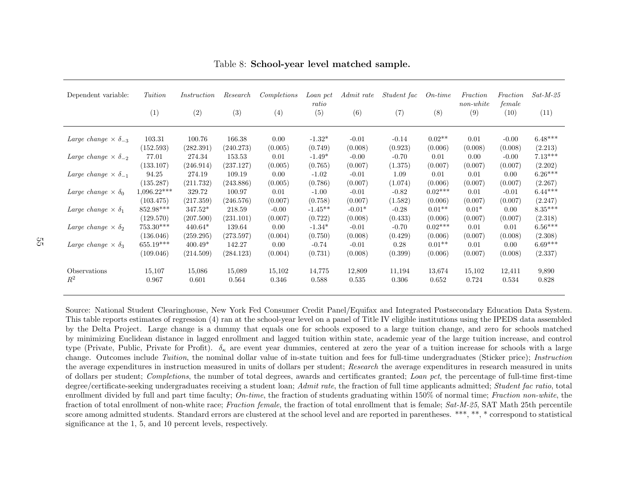| Dependent variable:               | Tuition<br>(1) | Instruction<br>(2) | Research<br>(3) | Completions<br>(4) | Loan pct<br>ratio<br>(5) | Admit rate<br>(6) | <i>Student fac</i><br>(7) | $On-time$<br>(8) | Fraction<br>$non\text{-}white$<br>$\left( 9\right)$ | Fraction<br>female<br>(10) | $Sat-M-25$<br>(11) |
|-----------------------------------|----------------|--------------------|-----------------|--------------------|--------------------------|-------------------|---------------------------|------------------|-----------------------------------------------------|----------------------------|--------------------|
|                                   |                |                    |                 |                    |                          |                   |                           |                  |                                                     |                            |                    |
| Large change $\times \delta_{-3}$ | 103.31         | 100.76             | 166.38          | 0.00               | $-1.32*$                 | $-0.01$           | $-0.14$                   | $0.02**$         | 0.01                                                | $-0.00$                    | $6.48***$          |
|                                   | (152.593)      | (282.391)          | (240.273)       | (0.005)            | (0.749)                  | (0.008)           | (0.923)                   | (0.006)          | (0.008)                                             | (0.008)                    | (2.213)            |
| Large change $\times \delta_{-2}$ | 77.01          | 274.34             | 153.53          | 0.01               | $-1.49*$                 | $-0.00$           | $-0.70$                   | 0.01             | 0.00                                                | $-0.00$                    | $7.13***$          |
|                                   | (133.107)      | (246.914)          | (237.127)       | (0.005)            | (0.765)                  | (0.007)           | (1.375)                   | (0.007)          | (0.007)                                             | (0.007)                    | (2.202)            |
| Large change $\times \delta_{-1}$ | 94.25          | 274.19             | 109.19          | 0.00               | $-1.02$                  | $-0.01$           | 1.09                      | 0.01             | 0.01                                                | 0.00                       | $6.26***$          |
|                                   | (135.287)      | (211.732)          | (243.886)       | (0.005)            | (0.786)                  | (0.007)           | (1.074)                   | (0.006)          | (0.007)                                             | (0.007)                    | (2.267)            |
| Large change $\times \delta_0$    | $1,096.22***$  | 329.72             | 100.97          | 0.01               | $-1.00$                  | $-0.01$           | $-0.82$                   | $0.02***$        | 0.01                                                | $-0.01$                    | $6.44***$          |
|                                   | (103.475)      | (217.359)          | (246.576)       | (0.007)            | (0.758)                  | (0.007)           | (1.582)                   | (0.006)          | (0.007)                                             | (0.007)                    | (2.247)            |
| Large change $\times \delta_1$    | $852.98***$    | 347.52*            | 218.59          | $-0.00$            | $-1.45**$                | $-0.01*$          | $-0.28$                   | $0.01**$         | $0.01*$                                             | 0.00                       | $8.35***$          |
|                                   | (129.570)      | (207.500)          | (231.101)       | (0.007)            | (0.722)                  | (0.008)           | (0.433)                   | (0.006)          | (0.007)                                             | (0.007)                    | (2.318)            |
| Large change $\times \delta_2$    | $753.30***$    | $440.64*$          | 139.64          | 0.00               | $-1.34*$                 | $-0.01$           | $-0.70$                   | $0.02***$        | 0.01                                                | 0.01                       | $6.56***$          |
|                                   | (136.046)      | (259.295)          | (273.597)       | (0.004)            | (0.750)                  | (0.008)           | (0.429)                   | (0.006)          | (0.007)                                             | (0.008)                    | (2.308)            |
| Large change $\times \delta_3$    | $655.19***$    | $400.49*$          | 142.27          | 0.00               | $-0.74$                  | $-0.01$           | 0.28                      | $0.01**$         | 0.01                                                | 0.00                       | $6.69***$          |
|                                   | (109.046)      | (214.509)          | (284.123)       | (0.004)            | (0.731)                  | (0.008)           | (0.399)                   | (0.006)          | (0.007)                                             | (0.008)                    | (2.337)            |
| Observations                      | 15,107         | 15,086             | 15,089          | 15,102             | 14,775                   | 12,809            | 11,194                    | 13,674           | 15,102                                              | 12,411                     | 9,890              |
| $R^2$                             | 0.967          | 0.601              | 0.564           | 0.346              | 0.588                    | 0.535             | 0.306                     | 0.652            | 0.724                                               | 0.534                      | 0.828              |

Table 8: School-year level matched sample.

Source: National Student Clearinghouse, New York Fed Consumer Credit Panel/Equifax and Integrated Postsecondary Education Data System. This table reports estimates of regression (4) ran at the school-year level on <sup>a</sup> pane<sup>l</sup> of Title IV eligible institutions using the IPEDS data assembled by the Delta Project. Large change is <sup>a</sup> dummy that equals one for schools exposed to <sup>a</sup> large tuition change, and zero for schools matched by minimizing Euclidean distance in lagged enrollment and lagged tuition within state, academic year of the large tuition increase, and controltype (Private, Public, Private for Profit).  $\delta_{\kappa}$  are event year dummies, centered at zero the year of a tuition increase for schools with a large change. Outcomes include *Tuition*, the nominal dollar value of in-state tuition and fees for full-time undergraduates (Sticker price); *Instruction* the average expenditures in instruction measured in units of dollars per student; *Research* the average expenditures in research measured in units of dollars per student; *Completions*, the number of total degrees, awards and certificates granted; *Loan pct*, the percentage of full-time first-time degree/certificate-seeking undergraduates receiving a student loan; Admit rate, the fraction of full time applicants admitted; Student fac ratio, total enrollment divided by full and part time faculty;  $On-time$ , the fraction of students graduating within 150% of normal time; *Fraction non-white*, the fraction of total enrollment of non-white race; Fraction female, the fraction of total enrollment that is female; Sat-M-25, SAT Math 25th percentile score among admitted students. Standard errors are clustered at the school level and are reported in parentheses. \*\*\*, \*\*, \* correspond to statistical significance at the 1, 5, and 10 percent levels, respectively.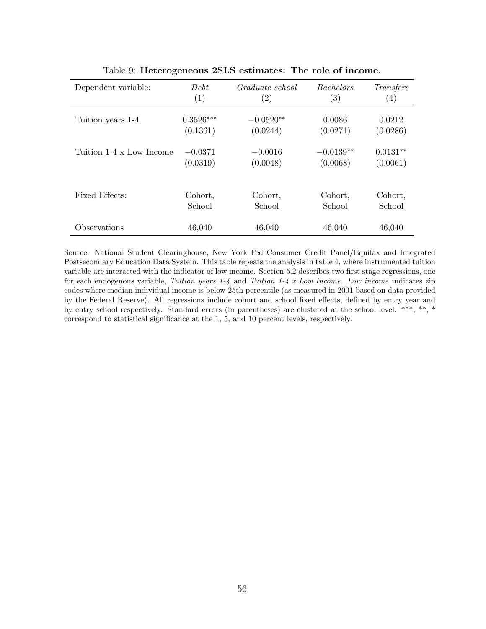| Dependent variable:      | Debt        | Graduate school   | <i>Bachelors</i>  | Transfers         |
|--------------------------|-------------|-------------------|-------------------|-------------------|
|                          | (1)         | $\left( 2\right)$ | $\left( 3\right)$ | $\left( 4\right)$ |
| Tuition years 1-4        | $0.3526***$ | $-0.0520**$       | 0.0086            | 0.0212            |
|                          | (0.1361)    | (0.0244)          | (0.0271)          | (0.0286)          |
| Tuition 1-4 x Low Income | $-0.0371$   | $-0.0016$         | $-0.0139**$       | $0.0131**$        |
|                          | (0.0319)    | (0.0048)          | (0.0068)          | (0.0061)          |
| Fixed Effects:           | Cohort,     | Cohort,           | Cohort,           | Cohort,           |
|                          | School      | School            | School            | School            |
| Observations             | 46,040      | 46,040            | 46,040            | 46,040            |

Table 9: Heterogeneous 2SLS estimates: The role of income.

Source: National Student Clearinghouse, New York Fed Consumer Credit Panel/Equifax and Integrated Postsecondary Education Data System. This table repeats the analysis in table 4, where instrumented tuition variable are interacted with the indicator of low income. Section 5.2 describes two first stage regressions, one for each endogenous variable, Tuition years  $1-4$  and Tuition  $1-4$  x Low Income. Low income indicates zip codes where median individual income is below 25th percentile (as measured in 2001 based on data provided by the Federal Reserve). All regressions include cohort and school fixed effects, defined by entry year and by entry school respectively. Standard errors (in parentheses) are clustered at the school level. \*\*\*, \*\*, \* correspond to statistical significance at the 1, 5, and 10 percent levels, respectively.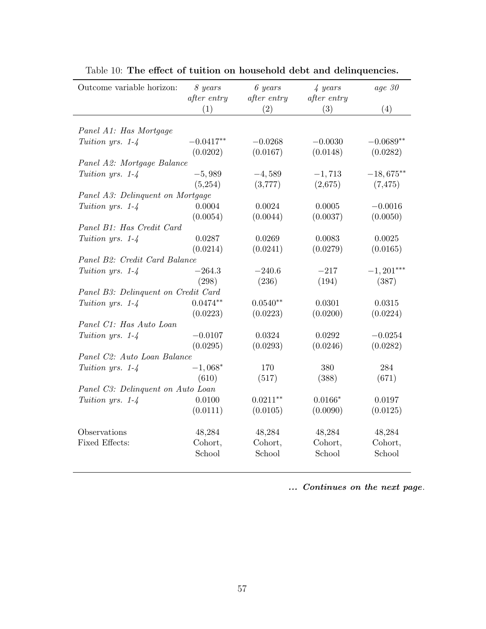| Outcome variable horizon:           | 8 years<br>after entry | 6 years<br>after entry | $4 \text{ years}$<br>after entry | age 30       |
|-------------------------------------|------------------------|------------------------|----------------------------------|--------------|
|                                     | (1)                    | (2)                    | (3)                              | (4)          |
|                                     |                        |                        |                                  |              |
| Panel A1: Has Mortgage              |                        |                        |                                  |              |
| Tuition yrs. 1-4                    | $-0.0417**$            | $-0.0268$              | $-0.0030$                        | $-0.0689**$  |
| Panel A2: Mortgage Balance          | (0.0202)               | (0.0167)               | (0.0148)                         | (0.0282)     |
| Tuition yrs. 1-4                    | $-5,989$               | $-4,589$               | $-1,713$                         | $-18,675**$  |
|                                     | (5,254)                | (3,777)                | (2,675)                          | (7, 475)     |
| Panel A3: Delinquent on Mortgage    |                        |                        |                                  |              |
| Tuition yrs. 1-4                    | 0.0004                 | 0.0024                 | 0.0005                           | $-0.0016$    |
|                                     | (0.0054)               | (0.0044)               | (0.0037)                         | (0.0050)     |
| Panel B1: Has Credit Card           |                        |                        |                                  |              |
| Tuition yrs. 1-4                    | 0.0287                 | 0.0269                 | 0.0083                           | 0.0025       |
|                                     | (0.0214)               | (0.0241)               | (0.0279)                         | (0.0165)     |
| Panel B2: Credit Card Balance       |                        |                        |                                  |              |
| Tuition yrs. 1-4                    | $-264.3$               | $-240.6$               | $-217$                           | $-1, 201***$ |
|                                     | (298)                  | (236)                  | (194)                            | (387)        |
| Panel B3: Delinquent on Credit Card |                        |                        |                                  |              |
| Tuition yrs. $1-4$                  | $0.0474**$             | $0.0540**$             | 0.0301                           | 0.0315       |
|                                     | (0.0223)               | (0.0223)               | (0.0200)                         | (0.0224)     |
| Panel C1: Has Auto Loan             |                        |                        |                                  |              |
| Tuition yrs. 1-4                    | $-0.0107$              | 0.0324                 | 0.0292                           | $-0.0254$    |
|                                     | (0.0295)               | (0.0293)               | (0.0246)                         | (0.0282)     |
| Panel C2: Auto Loan Balance         |                        |                        |                                  |              |
| Tuition yrs. 1-4                    | $-1,068*$              | 170                    | 380                              | 284          |
|                                     | (610)                  | (517)                  | (388)                            | (671)        |
| Panel C3: Delinquent on Auto Loan   |                        |                        |                                  |              |
| Tuition yrs. 1-4                    | 0.0100                 | $0.0211**$             | $0.0166*$                        | 0.0197       |
|                                     | (0.0111)               | (0.0105)               | (0.0090)                         | (0.0125)     |
| Observations                        | 48,284                 | 48,284                 | 48,284                           | 48,284       |
| Fixed Effects:                      | Cohort,                | Cohort,                | Cohort,                          | Cohort,      |
|                                     | School                 | School                 | School                           | School       |
|                                     |                        |                        |                                  |              |

Table 10: The effect of tuition on household debt and delinquencies.

... Continues on the next page.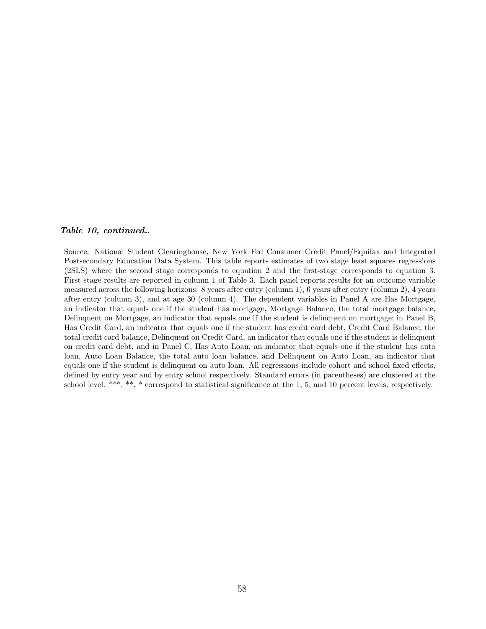#### Table 10, continued..

Source: National Student Clearinghouse, New York Fed Consumer Credit Panel/Equifax and Integrated Postsecondary Education Data System. This table reports estimates of two stage least squares regressions (2SLS) where the second stage corresponds to equation 2 and the first-stage corresponds to equation 3. First stage results are reported in column 1 of Table 3. Each panel reports results for an outcome variable measured across the following horizons: 8 years after entry (column 1), 6 years after entry (column 2), 4 years after entry (column 3), and at age 30 (column 4). The dependent variables in Panel A are Has Mortgage, an indicator that equals one if the student has mortgage, Mortgage Balance, the total mortgage balance, Delinquent on Mortgage, an indicator that equals one if the student is delinquent on mortgage; in Panel B, Has Credit Card, an indicator that equals one if the student has credit card debt, Credit Card Balance, the total credit card balance, Delinquent on Credit Card, an indicator that equals one if the student is delinquent on credit card debt, and in Panel C, Has Auto Loan, an indicator that equals one if the student has auto loan, Auto Loan Balance, the total auto loan balance, and Delinquent on Auto Loan, an indicator that equals one if the student is delinquent on auto loan. All regressions include cohort and school fixed effects, defined by entry year and by entry school respectively. Standard errors (in parentheses) are clustered at the school level. \*\*\*, \*\*, \* correspond to statistical significance at the 1, 5, and 10 percent levels, respectively.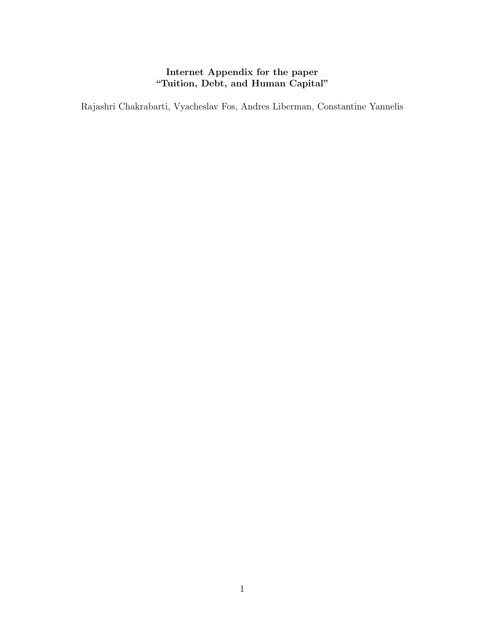# Internet Appendix for the paper "Tuition, Debt, and Human Capital"

Rajashri Chakrabarti, Vyacheslav Fos, Andres Liberman, Constantine Yannelis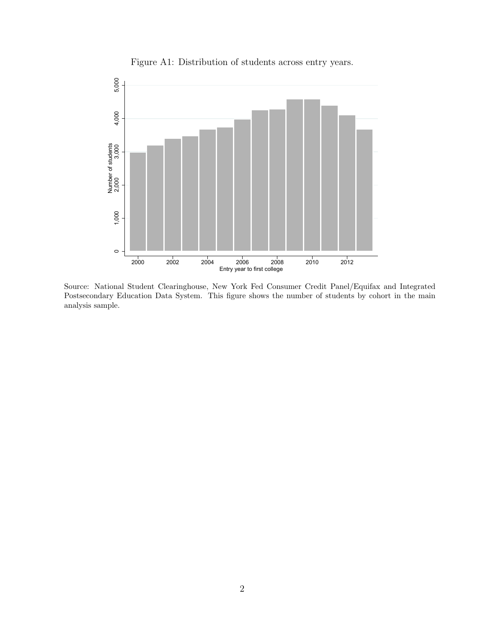



Source: National Student Clearinghouse, New York Fed Consumer Credit Panel/Equifax and Integrated Postsecondary Education Data System. This figure shows the number of students by cohort in the main analysis sample.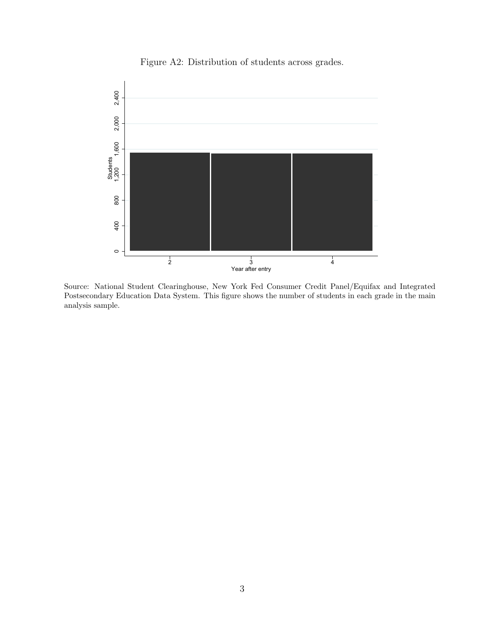

Figure A2: Distribution of students across grades.

Source: National Student Clearinghouse, New York Fed Consumer Credit Panel/Equifax and Integrated Postsecondary Education Data System. This figure shows the number of students in each grade in the main analysis sample.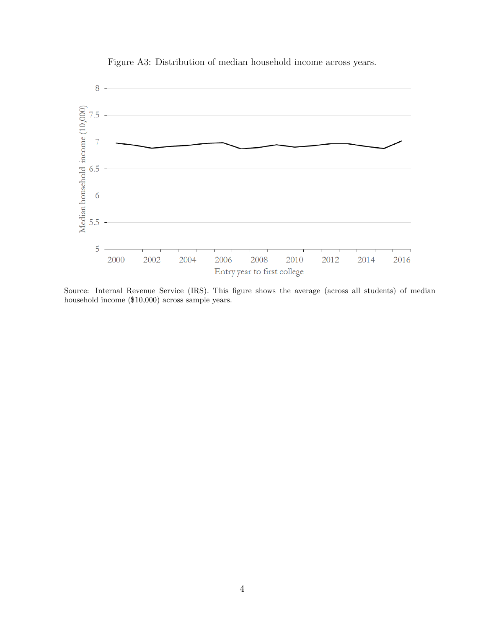

Figure A3: Distribution of median household income across years.

Source: Internal Revenue Service (IRS). This figure shows the average (across all students) of median household income (\$10,000) across sample years.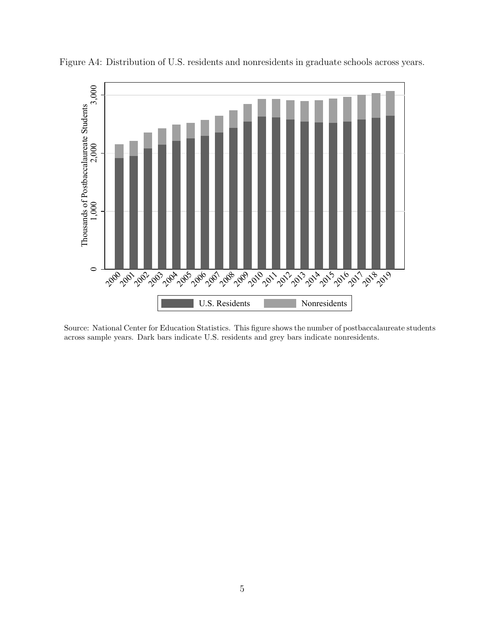

Figure A4: Distribution of U.S. residents and nonresidents in graduate schools across years.

Source: National Center for Education Statistics. This figure shows the number of postbaccalaureate students across sample years. Dark bars indicate U.S. residents and grey bars indicate nonresidents.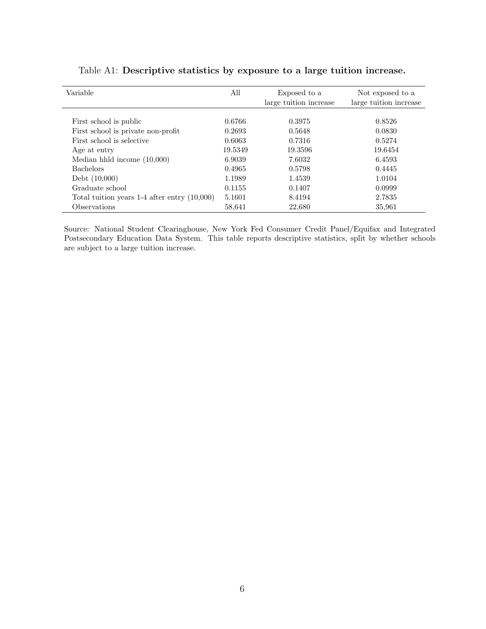| Variable                                         | All     | Exposed to a<br>large tuition increase | Not exposed to a<br>large tuition increase |
|--------------------------------------------------|---------|----------------------------------------|--------------------------------------------|
|                                                  |         |                                        |                                            |
| First school is public                           | 0.6766  | 0.3975                                 | 0.8526                                     |
| First school is private non-profit               | 0.2693  | 0.5648                                 | 0.0830                                     |
| First school is selective                        | 0.6063  | 0.7316                                 | 0.5274                                     |
| Age at entry                                     | 19.5349 | 19.3596                                | 19.6454                                    |
| Median hhld income $(10,000)$                    | 6.9039  | 7.6032                                 | 6.4593                                     |
| <b>Bachelors</b>                                 | 0.4965  | 0.5798                                 | 0.4445                                     |
| Debt $(10,000)$                                  | 1.1989  | 1.4539                                 | 1.0104                                     |
| Graduate school                                  | 0.1155  | 0.1407                                 | 0.0999                                     |
| Total tuition years $1-4$ after entry $(10,000)$ | 5.1601  | 8.4194                                 | 2.7835                                     |
| <b>Observations</b>                              | 58,641  | 22,680                                 | 35,961                                     |

Table A1: Descriptive statistics by exposure to a large tuition increase.

Source: National Student Clearinghouse, New York Fed Consumer Credit Panel/Equifax and Integrated Postsecondary Education Data System. This table reports descriptive statistics, split by whether schools are subject to a large tuition increase.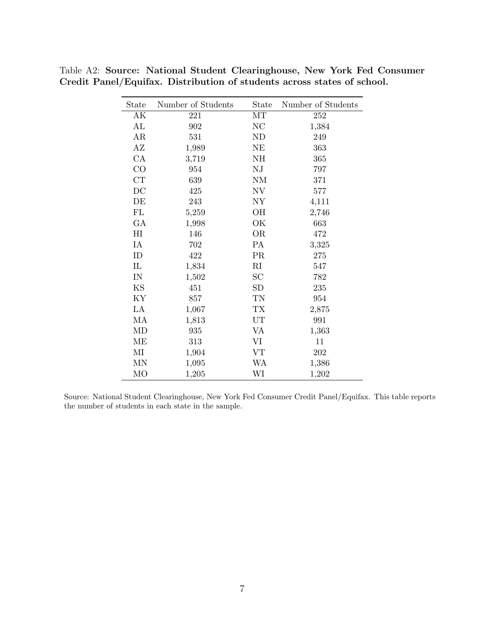| State          | Number of Students | State          | Number of Students |
|----------------|--------------------|----------------|--------------------|
| AK             | 221                | MT             | $252\,$            |
| AL             | 902                | NC             | 1,384              |
| AR             | 531                | N <sub>D</sub> | 249                |
| ΑZ             | 1,989              | NE             | 363                |
| CA             | 3,719              | NH             | 365                |
| CO             | 954                | ${\rm NJ}$     | 797                |
| CT             | 639                | <b>NM</b>      | 371                |
| DC             | 425                | NV             | 577                |
| DE             | 243                | NY             | 4,111              |
| FL             | 5,259              | OH             | 2,746              |
| GA             | 1,998              | OK             | 663                |
| H <sub>I</sub> | 146                | <b>OR</b>      | 472                |
| IA             | 702                | <b>PA</b>      | 3,325              |
| ID             | 422                | <b>PR</b>      | 275                |
| IL             | 1,834              | RI             | 547                |
| $\rm{IN}$      | 1,502              | SC             | 782                |
| KS             | 451                | SD             | 235                |
| KY             | 857                | TN             | 954                |
| LA             | 1,067              | TX             | 2,875              |
| MA             | 1,813              | UT             | 991                |
| MD             | 935                | VA             | 1,363              |
| <b>ME</b>      | 313                | VI             | 11                 |
| МI             | 1,904              | VT             | 202                |
| MN             | 1,095              | WA             | 1,386              |
| MO             | 1,205              | WI             | 1,202              |

Table A2: Source: National Student Clearinghouse, New York Fed Consumer Credit Panel/Equifax. Distribution of students across states of school.

Source: National Student Clearinghouse, New York Fed Consumer Credit Panel/Equifax. This table reports the number of students in each state in the sample.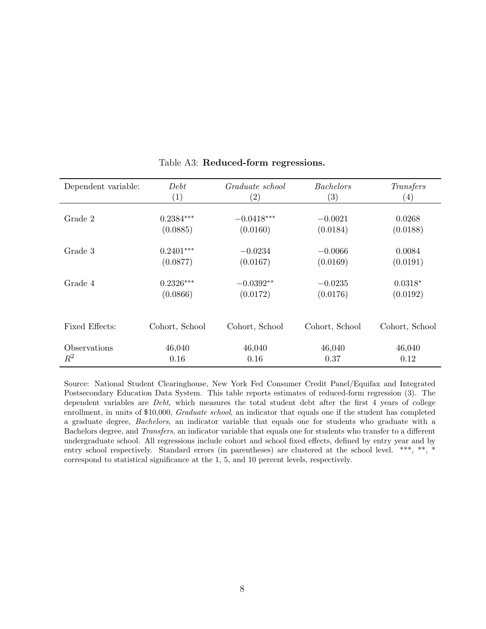| Dependent variable: | Debt              | Graduate school   | <i>Bachelors</i>  | Transfers      |
|---------------------|-------------------|-------------------|-------------------|----------------|
|                     | $\left( 1\right)$ | $\left( 2\right)$ | $\left( 3\right)$ | (4)            |
| Grade 2             | $0.2384***$       | $-0.0418***$      | $-0.0021$         | 0.0268         |
|                     | (0.0885)          | (0.0160)          | (0.0184)          | (0.0188)       |
| Grade 3             | $0.2401***$       | $-0.0234$         | $-0.0066$         | 0.0084         |
|                     | (0.0877)          | (0.0167)          | (0.0169)          | (0.0191)       |
| Grade 4             | $0.2326***$       | $-0.0392**$       | $-0.0235$         | $0.0318*$      |
|                     | (0.0866)          | (0.0172)          | (0.0176)          | (0.0192)       |
| Fixed Effects:      | Cohort, School    | Cohort, School    | Cohort, School    | Cohort, School |
| Observations        | 46,040            | 46,040            | 46,040            | 46,040         |
| $R^2$               | 0.16              | 0.16              | 0.37              | 0.12           |

# Table A3: Reduced-form regressions.

Source: National Student Clearinghouse, New York Fed Consumer Credit Panel/Equifax and Integrated Postsecondary Education Data System. This table reports estimates of reduced-form regression (3). The dependent variables are Debt, which measures the total student debt after the first 4 years of college enrollment, in units of \$10,000, *Graduate school*, an indicator that equals one if the student has completed a graduate degree, Bachelors, an indicator variable that equals one for students who graduate with a Bachelors degree, and Transfers, an indicator variable that equals one for students who transfer to a different undergraduate school. All regressions include cohort and school fixed effects, defined by entry year and by entry school respectively. Standard errors (in parentheses) are clustered at the school level. \*\*\*, \*\*, \* correspond to statistical significance at the 1, 5, and 10 percent levels, respectively.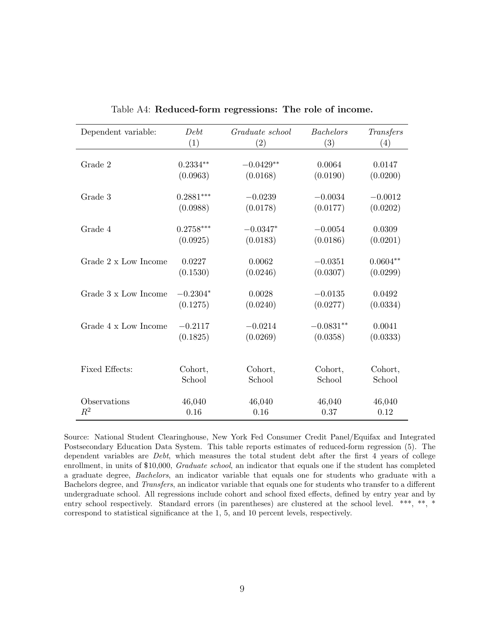| Dependent variable:  | Debt        | Graduate school   | Bachelors   | Transfers  |
|----------------------|-------------|-------------------|-------------|------------|
|                      | (1)         | $\left( 2\right)$ | (3)         | (4)        |
|                      |             |                   |             |            |
| Grade 2              | $0.2334**$  | $-0.0429**$       | 0.0064      | 0.0147     |
|                      | (0.0963)    | (0.0168)          | (0.0190)    | (0.0200)   |
| Grade 3              | $0.2881***$ | $-0.0239$         | $-0.0034$   | $-0.0012$  |
|                      | (0.0988)    | (0.0178)          | (0.0177)    | (0.0202)   |
| Grade 4              | $0.2758***$ | $-0.0347*$        | $-0.0054$   | 0.0309     |
|                      | (0.0925)    | (0.0183)          | (0.0186)    | (0.0201)   |
|                      |             |                   |             |            |
| Grade 2 x Low Income | 0.0227      | 0.0062            | $-0.0351$   | $0.0604**$ |
|                      | (0.1530)    | (0.0246)          | (0.0307)    | (0.0299)   |
| Grade 3 x Low Income | $-0.2304*$  | 0.0028            | $-0.0135$   | 0.0492     |
|                      | (0.1275)    | (0.0240)          | (0.0277)    | (0.0334)   |
|                      |             |                   |             |            |
| Grade 4 x Low Income | $-0.2117$   | $-0.0214$         | $-0.0831**$ | 0.0041     |
|                      | (0.1825)    | (0.0269)          | (0.0358)    | (0.0333)   |
|                      |             |                   |             |            |
| Fixed Effects:       | Cohort,     | Cohort,           | Cohort,     | Cohort,    |
|                      | School      | School            | School      | School     |
| Observations         | 46,040      | 46,040            | 46,040      | 46,040     |
| $\,R^2$              |             |                   |             |            |
|                      | 0.16        | 0.16              | 0.37        | 0.12       |

Table A4: Reduced-form regressions: The role of income.

Source: National Student Clearinghouse, New York Fed Consumer Credit Panel/Equifax and Integrated Postsecondary Education Data System. This table reports estimates of reduced-form regression (5). The dependent variables are *Debt*, which measures the total student debt after the first 4 years of college enrollment, in units of \$10,000, *Graduate school*, an indicator that equals one if the student has completed a graduate degree, Bachelors, an indicator variable that equals one for students who graduate with a Bachelors degree, and Transfers, an indicator variable that equals one for students who transfer to a different undergraduate school. All regressions include cohort and school fixed effects, defined by entry year and by entry school respectively. Standard errors (in parentheses) are clustered at the school level. \*\*\*, \*\*, \* correspond to statistical significance at the 1, 5, and 10 percent levels, respectively.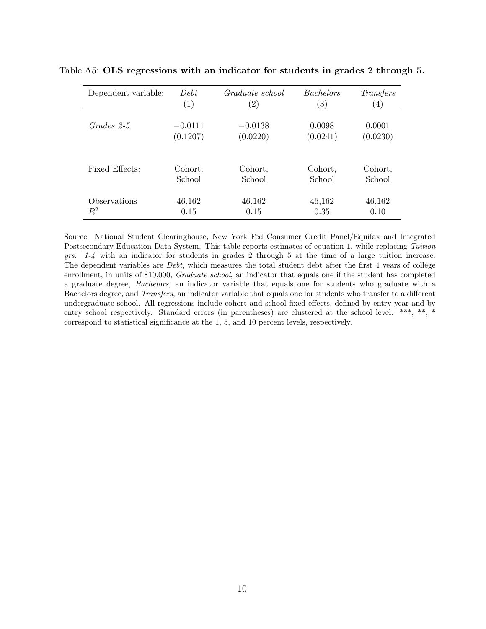| Dependent variable:        | Debt              | Graduate school   | <i>Bachelors</i>  | Transfers         |
|----------------------------|-------------------|-------------------|-------------------|-------------------|
|                            | $\left( 1\right)$ | $\left( 2\right)$ | $\left( 3\right)$ | $\left( 4\right)$ |
| $Grades 2-5$               | $-0.0111$         | $-0.0138$         | 0.0098            | 0.0001            |
|                            | (0.1207)          | (0.0220)          | (0.0241)          | (0.0230)          |
| Fixed Effects:             | Cohort,           | Cohort,           | Cohort,           | Cohort,           |
|                            | School            | School            | School            | School            |
| <i><b>Observations</b></i> | 46,162            | 46,162            | 46,162            | 46,162            |
| $\,R^2$                    | 0.15              | 0.15              | 0.35              | 0.10              |

Table A5: OLS regressions with an indicator for students in grades 2 through 5.

Source: National Student Clearinghouse, New York Fed Consumer Credit Panel/Equifax and Integrated Postsecondary Education Data System. This table reports estimates of equation 1, while replacing Tuition yrs. 1-4 with an indicator for students in grades 2 through 5 at the time of a large tuition increase. The dependent variables are *Debt*, which measures the total student debt after the first 4 years of college enrollment, in units of \$10,000, *Graduate school*, an indicator that equals one if the student has completed a graduate degree, Bachelors, an indicator variable that equals one for students who graduate with a Bachelors degree, and Transfers, an indicator variable that equals one for students who transfer to a different undergraduate school. All regressions include cohort and school fixed effects, defined by entry year and by entry school respectively. Standard errors (in parentheses) are clustered at the school level. \*\*\*, \*\*, \* correspond to statistical significance at the 1, 5, and 10 percent levels, respectively.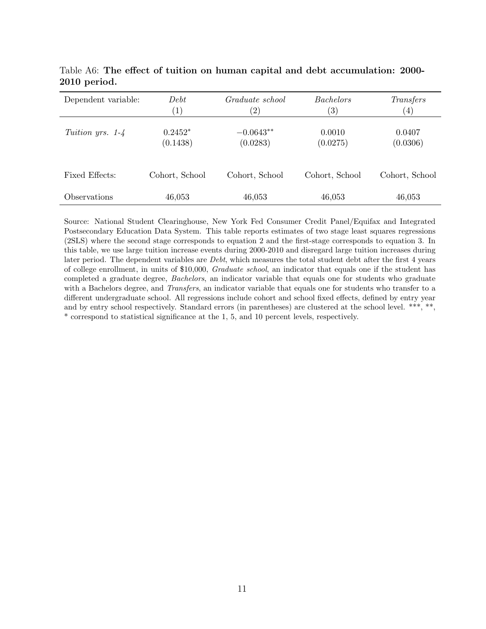| Dependent variable: | Debt              | Graduate school   | <i>Bachelors</i>  | Transfers        |
|---------------------|-------------------|-------------------|-------------------|------------------|
|                     | $\left( 1\right)$ | $\left( 2\right)$ | $\left( 3\right)$ | $\left(4\right)$ |
| Tuition yrs. 1-4    | $0.2452*$         | $-0.0643**$       | 0.0010            | 0.0407           |
|                     | (0.1438)          | (0.0283)          | (0.0275)          | (0.0306)         |
| Fixed Effects:      | Cohort, School    | Cohort, School    | Cohort, School    | Cohort, School   |
| Observations        | 46,053            | 46,053            | 46,053            | 46,053           |

Table A6: The effect of tuition on human capital and debt accumulation: 2000- 2010 period.

Source: National Student Clearinghouse, New York Fed Consumer Credit Panel/Equifax and Integrated Postsecondary Education Data System. This table reports estimates of two stage least squares regressions (2SLS) where the second stage corresponds to equation 2 and the first-stage corresponds to equation 3. In this table, we use large tuition increase events during 2000-2010 and disregard large tuition increases during later period. The dependent variables are Debt, which measures the total student debt after the first 4 years of college enrollment, in units of \$10,000, Graduate school, an indicator that equals one if the student has completed a graduate degree, Bachelors, an indicator variable that equals one for students who graduate with a Bachelors degree, and *Transfers*, an indicator variable that equals one for students who transfer to a different undergraduate school. All regressions include cohort and school fixed effects, defined by entry year and by entry school respectively. Standard errors (in parentheses) are clustered at the school level. \*\*\*, \*\*, \* correspond to statistical significance at the 1, 5, and 10 percent levels, respectively.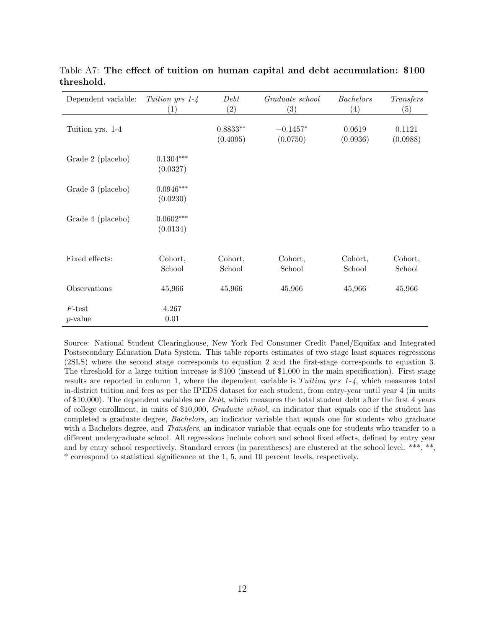| Dependent variable:     | Tuition yrs 1-4         | Debt                   | Graduate school        | <i>Bachelors</i>   | Transfers          |
|-------------------------|-------------------------|------------------------|------------------------|--------------------|--------------------|
|                         | $\left( 1\right)$       | $\left( 2\right)$      | $\left( 3\right)$      | $\left( 4\right)$  | (5)                |
| Tuition yrs. 1-4        |                         | $0.8833**$<br>(0.4095) | $-0.1457*$<br>(0.0750) | 0.0619<br>(0.0936) | 0.1121<br>(0.0988) |
| Grade 2 (placebo)       | $0.1304***$<br>(0.0327) |                        |                        |                    |                    |
| Grade 3 (placebo)       | $0.0946***$<br>(0.0230) |                        |                        |                    |                    |
| Grade 4 (placebo)       | $0.0602***$<br>(0.0134) |                        |                        |                    |                    |
| Fixed effects:          | Cohort,<br>School       | Cohort,<br>School      | Cohort,<br>School      | Cohort,<br>School  | Cohort,<br>School  |
| Observations            | 45,966                  | 45,966                 | 45,966                 | 45,966             | 45,966             |
| $F$ -test<br>$p$ -value | 4.267<br>0.01           |                        |                        |                    |                    |

Table A7: The effect of tuition on human capital and debt accumulation: \$100 threshold.

Source: National Student Clearinghouse, New York Fed Consumer Credit Panel/Equifax and Integrated Postsecondary Education Data System. This table reports estimates of two stage least squares regressions (2SLS) where the second stage corresponds to equation 2 and the first-stage corresponds to equation 3. The threshold for a large tuition increase is \$100 (instead of \$1,000 in the main specification). First stage results are reported in column 1, where the dependent variable is Tuition yrs  $1-4$ , which measures total in-district tuition and fees as per the IPEDS dataset for each student, from entry-year until year 4 (in units of \$10,000). The dependent variables are *Debt*, which measures the total student debt after the first 4 years of college enrollment, in units of \$10,000, Graduate school, an indicator that equals one if the student has completed a graduate degree, Bachelors, an indicator variable that equals one for students who graduate with a Bachelors degree, and *Transfers*, an indicator variable that equals one for students who transfer to a different undergraduate school. All regressions include cohort and school fixed effects, defined by entry year and by entry school respectively. Standard errors (in parentheses) are clustered at the school level. \*\*\*, \*\*, \* correspond to statistical significance at the 1, 5, and 10 percent levels, respectively.